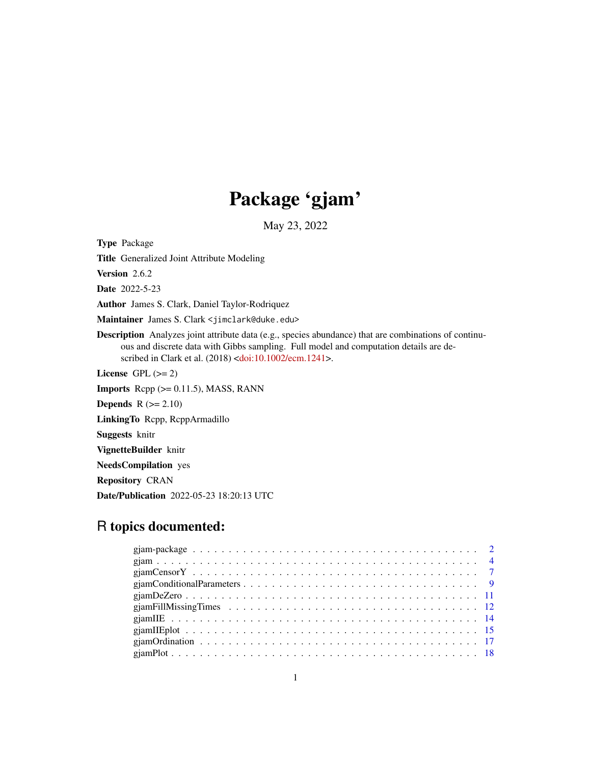# Package 'gjam'

May 23, 2022

Title Generalized Joint Attribute Modeling Version 2.6.2 Date 2022-5-23 Author James S. Clark, Daniel Taylor-Rodriquez Maintainer James S. Clark <jimclark@duke.edu> Description Analyzes joint attribute data (e.g., species abundance) that are combinations of continuous and discrete data with Gibbs sampling. Full model and computation details are de-scribed in Clark et al. (2018) [<doi:10.1002/ecm.1241>](https://doi.org/10.1002/ecm.1241). License GPL  $(>= 2)$ **Imports** Rcpp  $(>= 0.11.5)$ , MASS, RANN **Depends**  $R$  ( $>= 2.10$ ) LinkingTo Rcpp, RcppArmadillo Suggests knitr VignetteBuilder knitr NeedsCompilation yes Repository CRAN Date/Publication 2022-05-23 18:20:13 UTC

# R topics documented:

<span id="page-0-0"></span>Type Package

| giam Ordination $\ldots \ldots \ldots \ldots \ldots \ldots \ldots \ldots \ldots \ldots \ldots \ldots \ldots$ |  |  |  |  |  |  |  |  |  |  |  |  |  |  |  |
|--------------------------------------------------------------------------------------------------------------|--|--|--|--|--|--|--|--|--|--|--|--|--|--|--|
|                                                                                                              |  |  |  |  |  |  |  |  |  |  |  |  |  |  |  |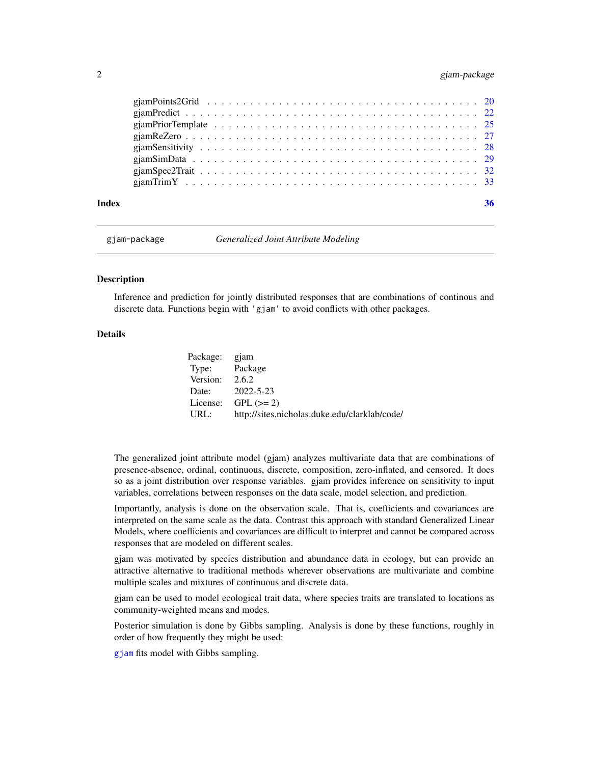# <span id="page-1-0"></span>2 gjam-package

| Index | 36 |
|-------|----|
|       |    |
|       |    |
|       |    |
|       |    |
|       |    |
|       |    |
|       |    |
|       |    |

gjam-package *Generalized Joint Attribute Modeling*

### Description

Inference and prediction for jointly distributed responses that are combinations of continous and discrete data. Functions begin with 'gjam' to avoid conflicts with other packages.

# Details

| Package: gjam    |                                               |
|------------------|-----------------------------------------------|
| Type: Package    |                                               |
| Version: $2.6.2$ |                                               |
| Date:            | 2022-5-23                                     |
|                  | License: $GPL (> = 2)$                        |
| URL:             | http://sites.nicholas.duke.edu/clarklab/code/ |

The generalized joint attribute model (gjam) analyzes multivariate data that are combinations of presence-absence, ordinal, continuous, discrete, composition, zero-inflated, and censored. It does so as a joint distribution over response variables. gjam provides inference on sensitivity to input variables, correlations between responses on the data scale, model selection, and prediction.

Importantly, analysis is done on the observation scale. That is, coefficients and covariances are interpreted on the same scale as the data. Contrast this approach with standard Generalized Linear Models, where coefficients and covariances are difficult to interpret and cannot be compared across responses that are modeled on different scales.

gjam was motivated by species distribution and abundance data in ecology, but can provide an attractive alternative to traditional methods wherever observations are multivariate and combine multiple scales and mixtures of continuous and discrete data.

gjam can be used to model ecological trait data, where species traits are translated to locations as community-weighted means and modes.

Posterior simulation is done by Gibbs sampling. Analysis is done by these functions, roughly in order of how frequently they might be used:

[gjam](#page-3-1) fits model with Gibbs sampling.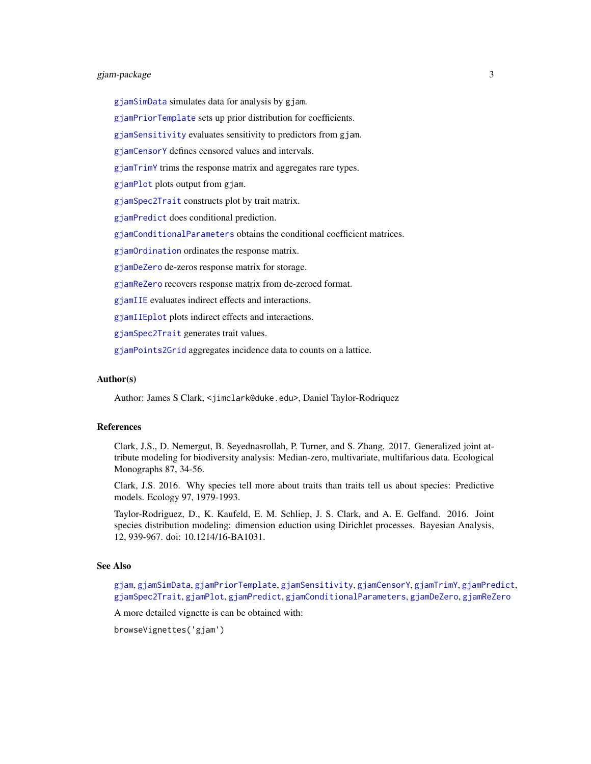# <span id="page-2-0"></span>gjam-package 3

[gjamSimData](#page-28-1) simulates data for analysis by gjam.

[gjamPriorTemplate](#page-24-1) sets up prior distribution for coefficients.

 $g$ jamSensitivity evaluates sensitivity to predictors from  $g$ jam.

[gjamCensorY](#page-6-1) defines censored values and intervals.

[gjamTrimY](#page-32-1) trims the response matrix and aggregates rare types.

[gjamPlot](#page-17-1) plots output from gjam.

[gjamSpec2Trait](#page-31-1) constructs plot by trait matrix.

[gjamPredict](#page-21-1) does conditional prediction.

[gjamConditionalParameters](#page-8-1) obtains the conditional coefficient matrices.

[gjamOrdination](#page-16-1) ordinates the response matrix.

[gjamDeZero](#page-10-1) de-zeros response matrix for storage.

[gjamReZero](#page-26-1) recovers response matrix from de-zeroed format.

[gjamIIE](#page-13-1) evaluates indirect effects and interactions.

[gjamIIEplot](#page-14-1) plots indirect effects and interactions.

[gjamSpec2Trait](#page-31-1) generates trait values.

[gjamPoints2Grid](#page-19-1) aggregates incidence data to counts on a lattice.

#### Author(s)

Author: James S Clark, <jimclark@duke.edu>, Daniel Taylor-Rodriquez

#### References

Clark, J.S., D. Nemergut, B. Seyednasrollah, P. Turner, and S. Zhang. 2017. Generalized joint attribute modeling for biodiversity analysis: Median-zero, multivariate, multifarious data. Ecological Monographs 87, 34-56.

Clark, J.S. 2016. Why species tell more about traits than traits tell us about species: Predictive models. Ecology 97, 1979-1993.

Taylor-Rodriguez, D., K. Kaufeld, E. M. Schliep, J. S. Clark, and A. E. Gelfand. 2016. Joint species distribution modeling: dimension eduction using Dirichlet processes. Bayesian Analysis, 12, 939-967. doi: 10.1214/16-BA1031.

#### See Also

[gjam](#page-3-1), [gjamSimData](#page-28-1), [gjamPriorTemplate](#page-24-1), [gjamSensitivity](#page-27-1), [gjamCensorY](#page-6-1), [gjamTrimY](#page-32-1), [gjamPredict](#page-21-1), [gjamSpec2Trait](#page-31-1), [gjamPlot](#page-17-1), [gjamPredict](#page-21-1), [gjamConditionalParameters](#page-8-1), [gjamDeZero](#page-10-1), [gjamReZero](#page-26-1)

A more detailed vignette is can be obtained with:

browseVignettes('gjam')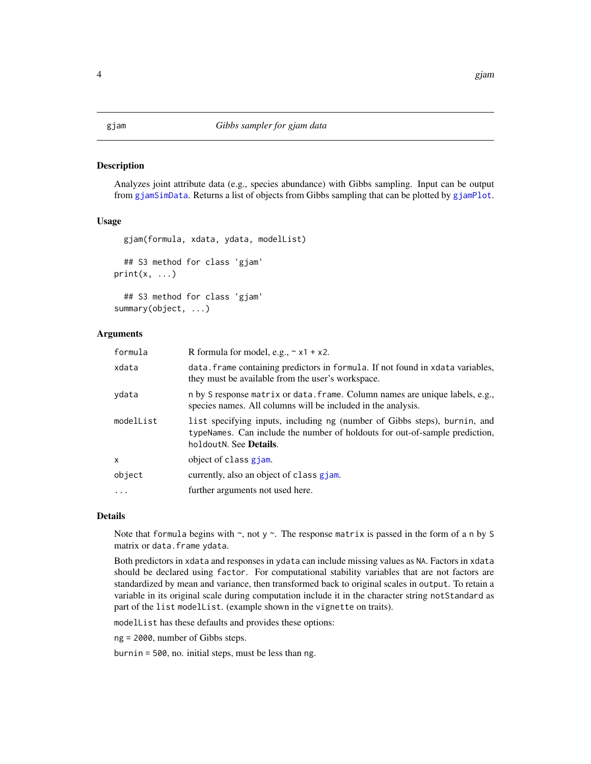#### <span id="page-3-1"></span><span id="page-3-0"></span>Description

Analyzes joint attribute data (e.g., species abundance) with Gibbs sampling. Input can be output from [gjamSimData](#page-28-1). Returns a list of objects from Gibbs sampling that can be plotted by [gjamPlot](#page-17-1).

#### Usage

```
gjam(formula, xdata, ydata, modelList)
  ## S3 method for class 'gjam'
print(x, \ldots)## S3 method for class 'gjam'
```
summary(object, ...)

# Arguments

| formula    | R formula for model, e.g., $\sim x1 + x2$ .                                                                                                                                        |
|------------|------------------------------------------------------------------------------------------------------------------------------------------------------------------------------------|
| xdata      | data. frame containing predictors in formula. If not found in xdata variables,<br>they must be available from the user's workspace.                                                |
| ydata      | n by S response matrix or data. frame. Column names are unique labels, e.g.,<br>species names. All columns will be included in the analysis.                                       |
| modelList  | list specifying inputs, including ng (number of Gibbs steps), burnin, and<br>typeNames. Can include the number of holdouts for out-of-sample prediction,<br>holdoutN. See Details. |
| X          | object of class gjam.                                                                                                                                                              |
| object     | currently, also an object of class gjam.                                                                                                                                           |
| $\ddots$ . | further arguments not used here.                                                                                                                                                   |
|            |                                                                                                                                                                                    |

# Details

Note that formula begins with  $\sim$ , not y  $\sim$ . The response matrix is passed in the form of a n by S matrix or data. frame ydata.

Both predictors in xdata and responses in ydata can include missing values as NA. Factors in xdata should be declared using factor. For computational stability variables that are not factors are standardized by mean and variance, then transformed back to original scales in output. To retain a variable in its original scale during computation include it in the character string notStandard as part of the list modelList. (example shown in the vignette on traits).

modelList has these defaults and provides these options:

ng = 2000, number of Gibbs steps.

burnin = 500, no. initial steps, must be less than ng.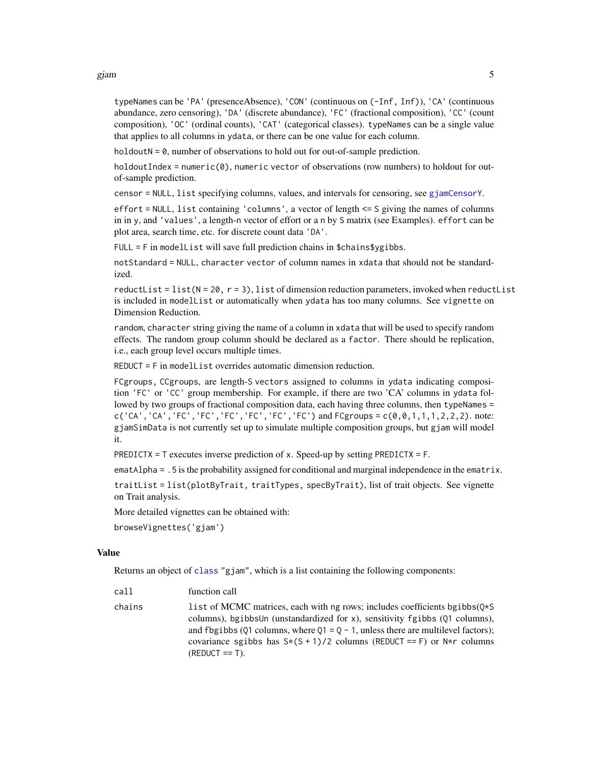<span id="page-4-0"></span>gjam 5

typeNames can be 'PA' (presenceAbsence), 'CON' (continuous on (-Inf, Inf)), 'CA' (continuous abundance, zero censoring), 'DA' (discrete abundance), 'FC' (fractional composition), 'CC' (count composition), 'OC' (ordinal counts), 'CAT' (categorical classes). typeNames can be a single value that applies to all columns in ydata, or there can be one value for each column.

 $holdoutN = 0$ , number of observations to hold out for out-of-sample prediction.

holdoutIndex = numeric(0), numeric vector of observations (row numbers) to holdout for outof-sample prediction.

censor = NULL, list specifying columns, values, and intervals for censoring, see [gjamCensorY](#page-6-1).

effort = NULL, list containing 'columns', a vector of length <= S giving the names of columns in in y, and 'values', a length-n vector of effort or a n by S matrix (see Examples). effort can be plot area, search time, etc. for discrete count data 'DA'.

 $FULL = F$  in modellist will save full prediction chains in \$chains\$ygibbs.

notStandard = NULL, character vector of column names in xdata that should not be standardized.

reductList = list( $N = 20$ ,  $r = 3$ ), list of dimension reduction parameters, invoked when reductList is included in modelList or automatically when ydata has too many columns. See vignette on Dimension Reduction.

random, character string giving the name of a column in xdata that will be used to specify random effects. The random group column should be declared as a factor. There should be replication, i.e., each group level occurs multiple times.

REDUCT = F in modelList overrides automatic dimension reduction.

FCgroups, CCgroups, are length-S vectors assigned to columns in ydata indicating composition 'FC' or 'CC' group membership. For example, if there are two 'CA' columns in ydata followed by two groups of fractional composition data, each having three columns, then typeNames =  $c('CA', 'CA', 'FC', 'FC', 'FC', 'FC', 'FC', 'FC')$  and  $FCgroups = c(0, 0, 1, 1, 1, 2, 2, 2)$ . note: gjamSimData is not currently set up to simulate multiple composition groups, but gjam will model it.

PREDICTX = T executes inverse prediction of x. Speed-up by setting PREDICTX = F.

ematAlpha = .5 is the probability assigned for conditional and marginal independence in the ematrix.

traitList = list(plotByTrait, traitTypes, specByTrait), list of trait objects. See vignette on Trait analysis.

More detailed vignettes can be obtained with:

browseVignettes('gjam')

#### Value

Returns an object of [class](#page-0-0) "gjam", which is a list containing the following components:

| call   | function call                                                                                                                                                                                                                                                                                                                                           |
|--------|---------------------------------------------------------------------------------------------------------------------------------------------------------------------------------------------------------------------------------------------------------------------------------------------------------------------------------------------------------|
| chains | list of MCMC matrices, each with ng rows; includes coefficients bgibbs $(0*\S$<br>columns), bgibbsUn (unstandardized for x), sensitivity fgibbs (01 columns),<br>and fbgibbs (01 columns, where $Q1 = Q - 1$ , unless there are multilevel factors);<br>covariance sgibbs has $S*(S + 1)/2$ columns (REDUCT == F) or $N*r$ columns<br>$(REDUCT == T)$ . |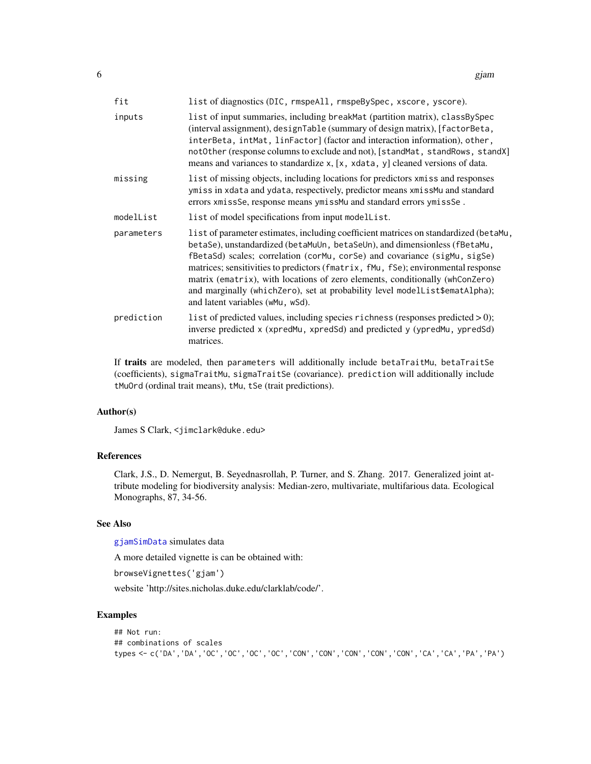<span id="page-5-0"></span>

| fit        | list of diagnostics (DIC, rmspeAll, rmspeBySpec, xscore, yscore).                                                                                                                                                                                                                                                                                                                                                                                                                                                                      |
|------------|----------------------------------------------------------------------------------------------------------------------------------------------------------------------------------------------------------------------------------------------------------------------------------------------------------------------------------------------------------------------------------------------------------------------------------------------------------------------------------------------------------------------------------------|
| inputs     | list of input summaries, including breakMat (partition matrix), classBySpec<br>(interval assignment), designTable (summary of design matrix), [factorBeta,<br>interBeta, intMat, linFactor] (factor and interaction information), other,<br>notOther (response columns to exclude and not), [standMat, standRows, standX]<br>means and variances to standardize x, [x, xdata, y] cleaned versions of data.                                                                                                                             |
| missing    | list of missing objects, including locations for predictors xmiss and responses<br>ymiss in xdata and ydata, respectively, predictor means xmissMu and standard<br>errors xmissSe, response means ymissMu and standard errors ymissSe.                                                                                                                                                                                                                                                                                                 |
| modelList  | list of model specifications from input modellist.                                                                                                                                                                                                                                                                                                                                                                                                                                                                                     |
| parameters | list of parameter estimates, including coefficient matrices on standardized (betaMu,<br>betaSe), unstandardized (betaMuUn, betaSeUn), and dimensionless (fBetaMu,<br>fBetaSd) scales; correlation (corMu, corSe) and covariance (sigMu, sigSe)<br>matrices; sensitivities to predictors (fmatrix, fMu, fSe); environmental response<br>matrix (ematrix), with locations of zero elements, conditionally (whConZero)<br>and marginally (whichZero), set at probability level modelList\$ematAlpha);<br>and latent variables (wMu, wSd). |
| prediction | list of predicted values, including species richness (responses predicted > 0);<br>inverse predicted x (xpredMu, xpredSd) and predicted y (ypredMu, ypredSd)<br>matrices.                                                                                                                                                                                                                                                                                                                                                              |

If traits are modeled, then parameters will additionally include betaTraitMu, betaTraitSe (coefficients), sigmaTraitMu, sigmaTraitSe (covariance). prediction will additionally include tMuOrd (ordinal trait means), tMu, tSe (trait predictions).

#### Author(s)

James S Clark, <jimclark@duke.edu>

# References

Clark, J.S., D. Nemergut, B. Seyednasrollah, P. Turner, and S. Zhang. 2017. Generalized joint attribute modeling for biodiversity analysis: Median-zero, multivariate, multifarious data. Ecological Monographs, 87, 34-56.

### See Also

[gjamSimData](#page-28-1) simulates data

A more detailed vignette is can be obtained with:

browseVignettes('gjam')

website 'http://sites.nicholas.duke.edu/clarklab/code/'.

```
## Not run:
## combinations of scales
types <- c('DA','DA','OC','OC','OC','OC','CON','CON','CON','CON','CON','CA','CA','PA','PA')
```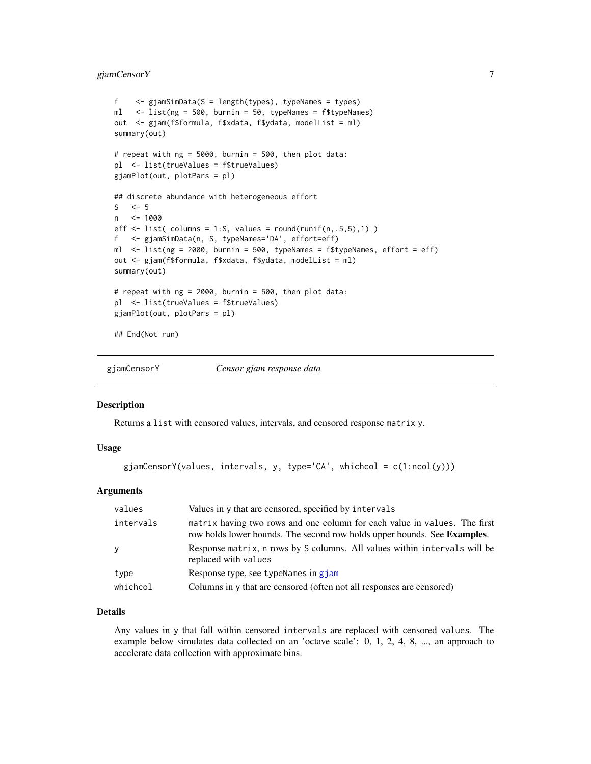# <span id="page-6-0"></span>gjamCensorY 7

```
f <- gjamSimData(S = length(types), typeNames = types)
ml <- list(ng = 500, burnin = 50, typeNames = f$typeNames)
out <- gjam(f$formula, f$xdata, f$ydata, modelList = ml)
summary(out)
# repeat with ng = 5000, burnin = 500, then plot data:
pl <- list(trueValues = f$trueValues)
gjamPlot(out, plotPars = pl)
## discrete abundance with heterogeneous effort
S \leq -5n <- 1000
eff \le list( columns = 1:S, values = round(runif(n,.5,5),1) )
f <- gjamSimData(n, S, typeNames='DA', effort=eff)
ml <- list(ng = 2000, burnin = 500, typeNames = f$typeNames, effort = eff)
out <- gjam(f$formula, f$xdata, f$ydata, modelList = ml)
summary(out)
# repeat with ng = 2000, burnin = 500, then plot data:
pl <- list(trueValues = f$trueValues)
gjamPlot(out, plotPars = pl)
## End(Not run)
```
<span id="page-6-1"></span>

gjamCensorY *Censor gjam response data*

#### **Description**

Returns a list with censored values, intervals, and censored response matrix y.

#### Usage

```
gjamCensorY(values, intervals, y, type='CA', whichcol = c(1:ncol(y)))
```
#### Arguments

| values    | Values in y that are censored, specified by intervals                                                                                                         |
|-----------|---------------------------------------------------------------------------------------------------------------------------------------------------------------|
| intervals | matrix having two rows and one column for each value in values. The first<br>row holds lower bounds. The second row holds upper bounds. See <b>Examples</b> . |
| y         | Response matrix, n rows by S columns. All values within intervals will be<br>replaced with values                                                             |
| type      | Response type, see typeNames in gjam                                                                                                                          |
| whichcol  | Columns in y that are censored (often not all responses are censored)                                                                                         |

# Details

Any values in y that fall within censored intervals are replaced with censored values. The example below simulates data collected on an 'octave scale': 0, 1, 2, 4, 8, ..., an approach to accelerate data collection with approximate bins.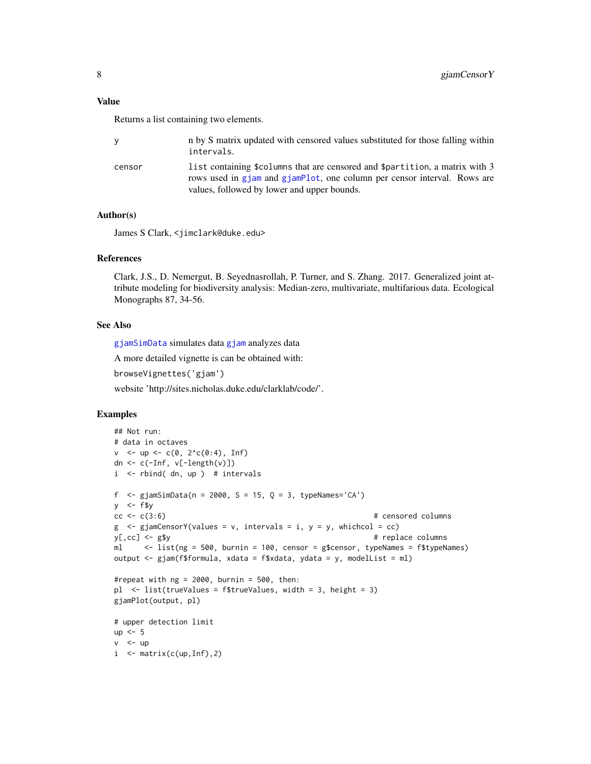# <span id="page-7-0"></span>Value

Returns a list containing two elements.

| ٧      | n by S matrix updated with censored values substituted for those falling within<br>intervals.                                                                                                             |
|--------|-----------------------------------------------------------------------------------------------------------------------------------------------------------------------------------------------------------|
| censor | list containing \$columns that are censored and \$partition, a matrix with 3<br>rows used in g iam and g iamplot, one column per censor interval. Rows are<br>values, followed by lower and upper bounds. |

## Author(s)

James S Clark, <jimclark@duke.edu>

#### References

Clark, J.S., D. Nemergut, B. Seyednasrollah, P. Turner, and S. Zhang. 2017. Generalized joint attribute modeling for biodiversity analysis: Median-zero, multivariate, multifarious data. Ecological Monographs 87, 34-56.

#### See Also

[gjamSimData](#page-28-1) simulates data [gjam](#page-3-1) analyzes data

A more detailed vignette is can be obtained with:

browseVignettes('gjam')

website 'http://sites.nicholas.duke.edu/clarklab/code/'.

```
## Not run:
# data in octaves
v <- up <- c(0, 2^c(0:4), Inf)
dn \leq c(-Inf, v[-length(v)])
i <- rbind( dn, up ) # intervals
f \leq gjamSimData(n = 2000, S = 15, Q = 3, typeNames='CA')
y \le -f$y
cc < -c(3:6) # censored columns
g \leq - gjamCensorY(values = v, intervals = i, y = y, whichcol = cc)
y[,cc] <- g$y # replace columns
ml \le list(ng = 500, burnin = 100, censor = g$censor, typeNames = f$typeNames)
output <- gjam(f$formula, xdata = f$xdata, ydata = y, modelList = ml)
#repeat with ng = 2000, burnin = 500, then:
pl <- list(trueValues = f$trueValues, width = 3, height = 3)
gjamPlot(output, pl)
# upper detection limit
up <-5v < - up
i \le matrix(c(up, Inf), 2)
```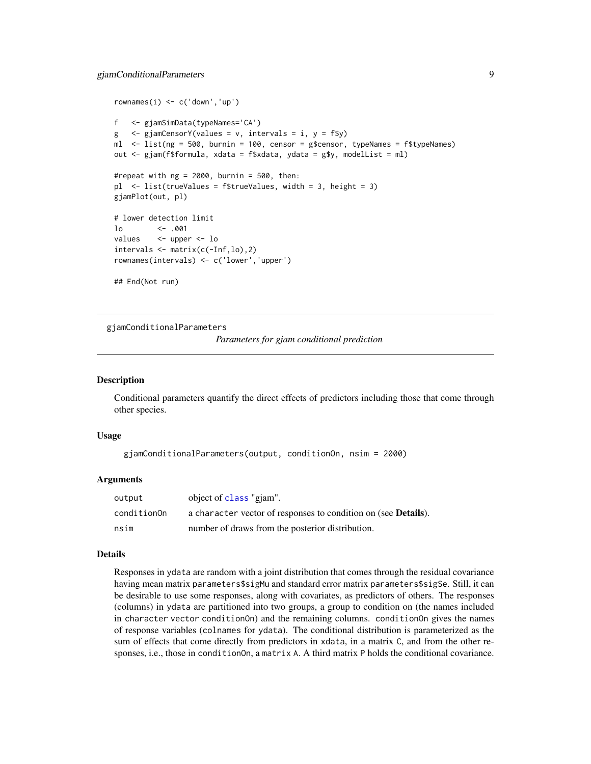# <span id="page-8-0"></span>gjamConditionalParameters 9

```
rownames(i) <- c('down','up')
f <- gjamSimData(typeNames='CA')
g \leq - gjamCensorY(values = v, intervals = i, y = f$y)
ml <- list(ng = 500, burnin = 100, censor = g$censor, typeNames = f$typeNames)
out <- gjam(f$formula, xdata = f$xdata, ydata = g$y, modelList = ml)
#repeat with ng = 2000, burnin = 500, then:
pl <- list(trueValues = f$trueValues, width = 3, height = 3)
gjamPlot(out, pl)
# lower detection limit
lo <- .001
values <- upper <- lo
intervals <- matrix(c(-Inf,lo),2)
rownames(intervals) <- c('lower','upper')
## End(Not run)
```
<span id="page-8-1"></span>gjamConditionalParameters

*Parameters for gjam conditional prediction*

#### Description

Conditional parameters quantify the direct effects of predictors including those that come through other species.

#### Usage

```
gjamConditionalParameters(output, conditionOn, nsim = 2000)
```
#### **Arguments**

| output      | object of class "giam".                                                |
|-------------|------------------------------------------------------------------------|
| conditionOn | a character vector of responses to condition on (see <b>Details</b> ). |
| nsim        | number of draws from the posterior distribution.                       |

#### Details

Responses in ydata are random with a joint distribution that comes through the residual covariance having mean matrix parameters\$sigMu and standard error matrix parameters\$sigSe. Still, it can be desirable to use some responses, along with covariates, as predictors of others. The responses (columns) in ydata are partitioned into two groups, a group to condition on (the names included in character vector conditionOn) and the remaining columns. conditionOn gives the names of response variables (colnames for ydata). The conditional distribution is parameterized as the sum of effects that come directly from predictors in xdata, in a matrix C, and from the other responses, i.e., those in conditionOn, a matrix A. A third matrix P holds the conditional covariance.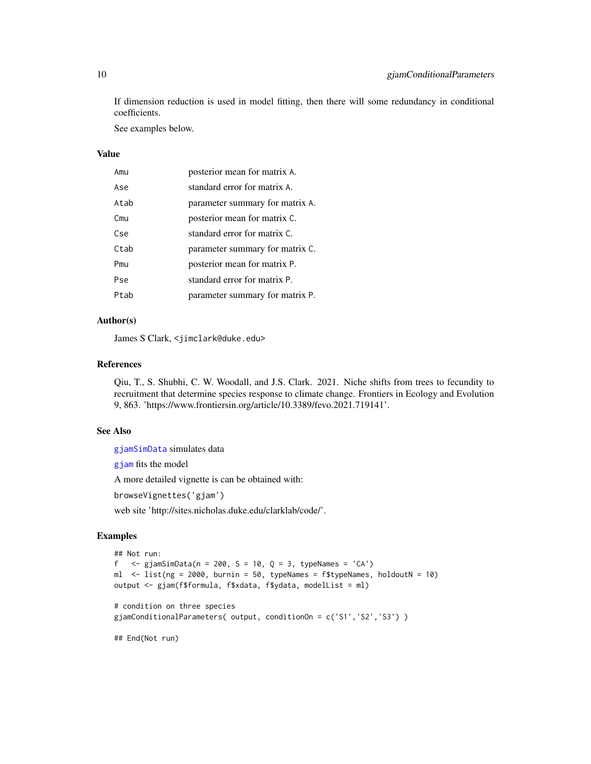<span id="page-9-0"></span>If dimension reduction is used in model fitting, then there will some redundancy in conditional coefficients.

See examples below.

# Value

| Amu  | posterior mean for matrix A.    |
|------|---------------------------------|
| Ase  | standard error for matrix A.    |
| Atab | parameter summary for matrix A. |
| Cmu  | posterior mean for matrix C.    |
| Cse  | standard error for matrix C.    |
| Ctab | parameter summary for matrix C. |
| Pmu  | posterior mean for matrix P.    |
| Pse  | standard error for matrix P.    |
| Ptab | parameter summary for matrix P. |

#### Author(s)

James S Clark, <jimclark@duke.edu>

#### References

Qiu, T., S. Shubhi, C. W. Woodall, and J.S. Clark. 2021. Niche shifts from trees to fecundity to recruitment that determine species response to climate change. Frontiers in Ecology and Evolution 9, 863. 'https://www.frontiersin.org/article/10.3389/fevo.2021.719141'.

# See Also

[gjamSimData](#page-28-1) simulates data

[gjam](#page-3-1) fits the model

A more detailed vignette is can be obtained with:

browseVignettes('gjam')

web site 'http://sites.nicholas.duke.edu/clarklab/code/'.

# Examples

```
## Not run:
f \leq gjamSimData(n = 200, S = 10, Q = 3, typeNames = 'CA')
ml <- list(ng = 2000, burnin = 50, typeNames = f$typeNames, holdoutN = 10)
output <- gjam(f$formula, f$xdata, f$ydata, modelList = ml)
# condition on three species
gjamConditionalParameters( output, conditionOn = c('S1','S2','S3') )
```
## End(Not run)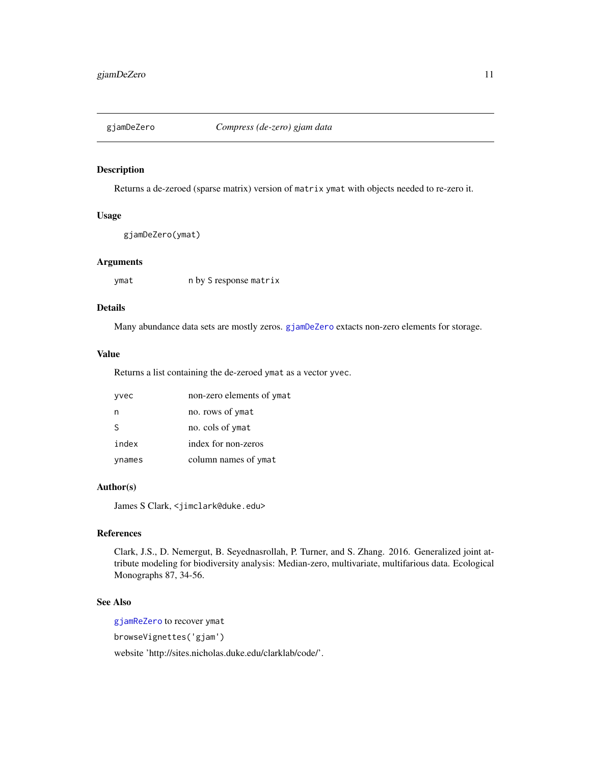<span id="page-10-1"></span><span id="page-10-0"></span>

# Description

Returns a de-zeroed (sparse matrix) version of matrix ymat with objects needed to re-zero it.

#### Usage

```
gjamDeZero(ymat)
```
#### Arguments

ymat n by S response matrix

# Details

Many abundance data sets are mostly zeros. [gjamDeZero](#page-10-1) extacts non-zero elements for storage.

#### Value

Returns a list containing the de-zeroed ymat as a vector yvec.

| yvec         | non-zero elements of ymat |
|--------------|---------------------------|
| n            | no. rows of ymat          |
| <sub>S</sub> | no. cols of ymat          |
| index        | index for non-zeros       |
| ynames       | column names of ymat      |

# Author(s)

James S Clark, <jimclark@duke.edu>

# References

Clark, J.S., D. Nemergut, B. Seyednasrollah, P. Turner, and S. Zhang. 2016. Generalized joint attribute modeling for biodiversity analysis: Median-zero, multivariate, multifarious data. Ecological Monographs 87, 34-56.

#### See Also

[gjamReZero](#page-26-1) to recover ymat

browseVignettes('gjam')

website 'http://sites.nicholas.duke.edu/clarklab/code/'.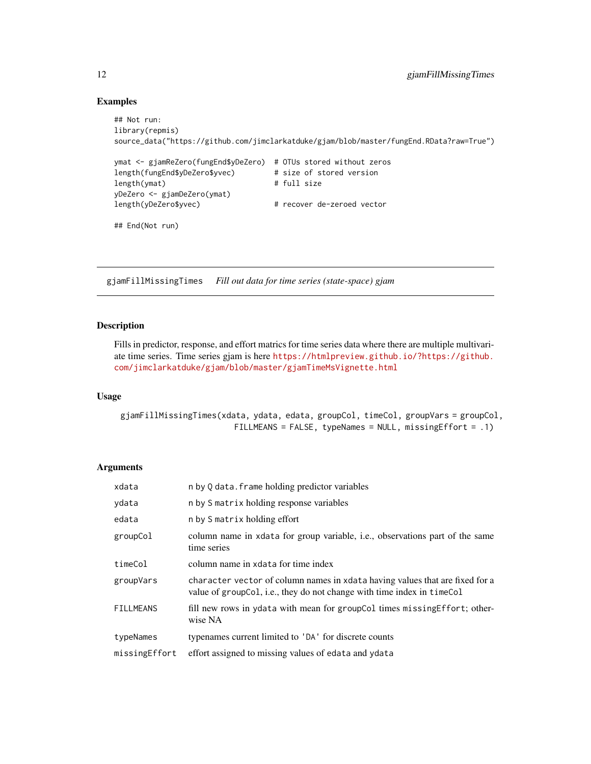#### Examples

```
## Not run:
library(repmis)
source_data("https://github.com/jimclarkatduke/gjam/blob/master/fungEnd.RData?raw=True")
ymat <- gjamReZero(fungEnd$yDeZero) # OTUs stored without zeros
length(fungEnd$yDeZero$yvec) # size of stored version
length(ymat) # full size
yDeZero <- gjamDeZero(ymat)
length(yDeZero$yvec) # recover de-zeroed vector
## End(Not run)
```
gjamFillMissingTimes *Fill out data for time series (state-space) gjam*

#### Description

Fills in predictor, response, and effort matrics for time series data where there are multiple multivariate time series. Time series gjam is here [https://htmlpreview.github.io/?https://github.](https://htmlpreview.github.io/?https://github.com/jimclarkatduke/gjam/blob/master/gjamTimeMsVignette.html) [com/jimclarkatduke/gjam/blob/master/gjamTimeMsVignette.html](https://htmlpreview.github.io/?https://github.com/jimclarkatduke/gjam/blob/master/gjamTimeMsVignette.html)

# Usage

```
gjamFillMissingTimes(xdata, ydata, edata, groupCol, timeCol, groupVars = groupCol,
                        FILLMEANS = FALSE, typeNames = NULL, missingEffort = .1)
```
## Arguments

| xdata            | n by Q data. frame holding predictor variables                                                                                                            |
|------------------|-----------------------------------------------------------------------------------------------------------------------------------------------------------|
| ydata            | n by S matrix holding response variables                                                                                                                  |
| edata            | n by S matrix holding effort                                                                                                                              |
| groupCol         | column name in x data for group variable, i.e., observations part of the same<br>time series                                                              |
| timeCol          | column name in xdata for time index                                                                                                                       |
| groupVars        | character vector of column names in x data having values that are fixed for a<br>value of group Col, i.e., they do not change with time index in time Col |
| <b>FILLMEANS</b> | fill new rows in ydata with mean for groupCol times missing Effort; other-<br>wise NA                                                                     |
| typeNames        | typenames current limited to 'DA' for discrete counts                                                                                                     |
| missingEffort    | effort assigned to missing values of edata and ydata                                                                                                      |

<span id="page-11-0"></span>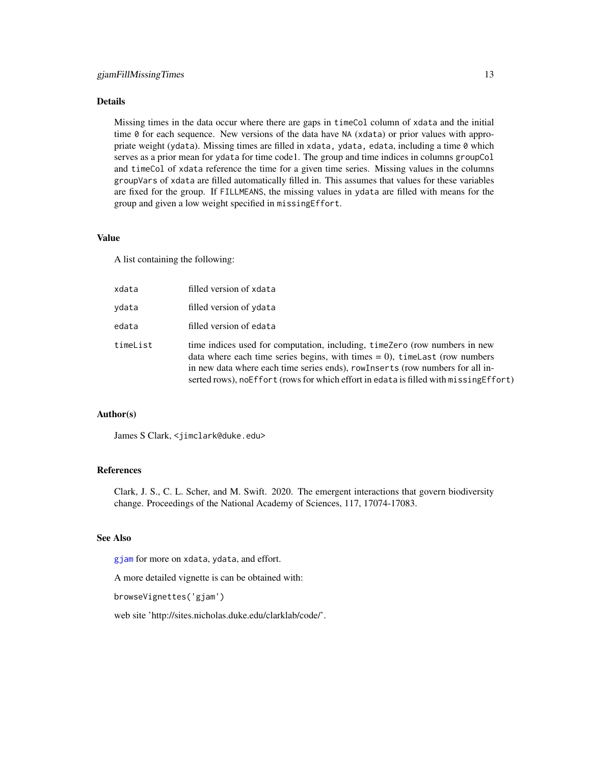# <span id="page-12-0"></span>Details

Missing times in the data occur where there are gaps in timeCol column of xdata and the initial time 0 for each sequence. New versions of the data have NA (xdata) or prior values with appropriate weight (ydata). Missing times are filled in xdata, ydata, edata, including a time 0 which serves as a prior mean for ydata for time code1. The group and time indices in columns groupCol and timeCol of xdata reference the time for a given time series. Missing values in the columns groupVars of xdata are filled automatically filled in. This assumes that values for these variables are fixed for the group. If FILLMEANS, the missing values in ydata are filled with means for the group and given a low weight specified in missingEffort.

# Value

A list containing the following:

| xdata    | filled version of xdata                                                                                                                                                                                                                                                                                                                |
|----------|----------------------------------------------------------------------------------------------------------------------------------------------------------------------------------------------------------------------------------------------------------------------------------------------------------------------------------------|
| ydata    | filled version of ydata                                                                                                                                                                                                                                                                                                                |
| edata    | filled version of edata                                                                                                                                                                                                                                                                                                                |
| timeList | time indices used for computation, including, timeZero (row numbers in new<br>data where each time series begins, with times $= 0$ ), timelast (row numbers<br>in new data where each time series ends), rowInserts (row numbers for all in-<br>serted rows), no Effort (rows for which effort in edata is filled with missing Effort) |

#### Author(s)

James S Clark, <jimclark@duke.edu>

#### References

Clark, J. S., C. L. Scher, and M. Swift. 2020. The emergent interactions that govern biodiversity change. Proceedings of the National Academy of Sciences, 117, 17074-17083.

# See Also

[gjam](#page-3-1) for more on xdata, ydata, and effort.

A more detailed vignette is can be obtained with:

browseVignettes('gjam')

web site 'http://sites.nicholas.duke.edu/clarklab/code/'.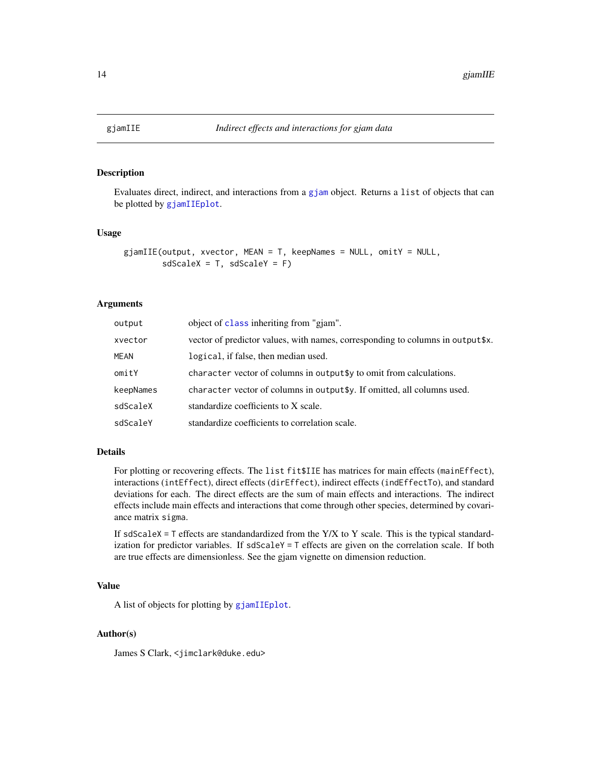<span id="page-13-1"></span><span id="page-13-0"></span>

#### Description

Evaluates direct, indirect, and interactions from a [gjam](#page-3-1) object. Returns a list of objects that can be plotted by [gjamIIEplot](#page-14-1).

# Usage

```
gjamIIE(output, xvector, MEAN = T, keepNames = NULL, omitY = NULL,
       sdScaleX = T, sdScaleY = F
```
#### **Arguments**

| output      | object of class inheriting from "giam".                                         |
|-------------|---------------------------------------------------------------------------------|
| xvector     | vector of predictor values, with names, corresponding to columns in output \$x. |
| <b>MEAN</b> | logical, if false, then median used.                                            |
| omitY       | character vector of columns in output \$y to omit from calculations.            |
| keepNames   | character vector of columns in output \$y. If omitted, all columns used.        |
| sdScaleX    | standardize coefficients to X scale.                                            |
| sdScaleY    | standardize coefficients to correlation scale.                                  |

# Details

For plotting or recovering effects. The list fit \$IIE has matrices for main effects (mainEffect), interactions (intEffect), direct effects (dirEffect), indirect effects (indEffectTo), and standard deviations for each. The direct effects are the sum of main effects and interactions. The indirect effects include main effects and interactions that come through other species, determined by covariance matrix sigma.

If sdScaleX =  $T$  effects are standandardized from the Y/X to Y scale. This is the typical standardization for predictor variables. If  $sdScaleY = T$  effects are given on the correlation scale. If both are true effects are dimensionless. See the gjam vignette on dimension reduction.

#### Value

A list of objects for plotting by [gjamIIEplot](#page-14-1).

# Author(s)

James S Clark, <jimclark@duke.edu>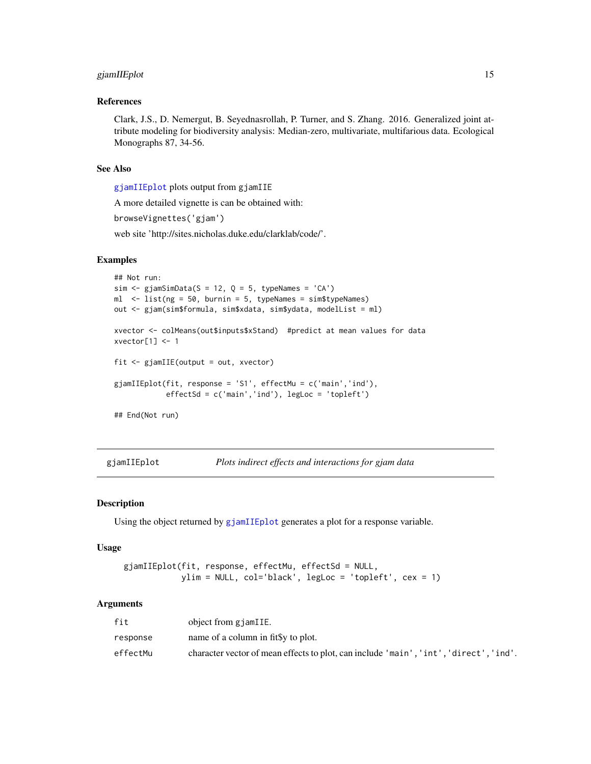# <span id="page-14-0"></span>gjamIIEplot 15

#### References

Clark, J.S., D. Nemergut, B. Seyednasrollah, P. Turner, and S. Zhang. 2016. Generalized joint attribute modeling for biodiversity analysis: Median-zero, multivariate, multifarious data. Ecological Monographs 87, 34-56.

# See Also

[gjamIIEplot](#page-14-1) plots output from gjamIIE

A more detailed vignette is can be obtained with:

browseVignettes('gjam')

web site 'http://sites.nicholas.duke.edu/clarklab/code/'.

# Examples

```
## Not run:
sim \leq gjamSimData(S = 12, Q = 5, typeNames = 'CA')
ml \le list(ng = 50, burnin = 5, typeNames = sim$typeNames)
out <- gjam(sim$formula, sim$xdata, sim$ydata, modelList = ml)
xvector <- colMeans(out$inputs$xStand) #predict at mean values for data
xvector[1] < -1fit <- gjamIIE(output = out, xvector)
gjamIIEplot(fit, response = 'S1', effectMu = c('main','ind'),
            effectSd = c('main','ind'), legLoc = 'topleft')
## End(Not run)
```
<span id="page-14-1"></span>gjamIIEplot *Plots indirect effects and interactions for gjam data*

#### **Description**

Using the object returned by [gjamIIEplot](#page-14-1) generates a plot for a response variable.

#### Usage

```
gjamIIEplot(fit, response, effectMu, effectSd = NULL,
           ylim = NULL, col='black', legLoc = 'topleft', cex = 1)
```
# Arguments

| fit      | object from gjamIIE.                                                                  |
|----------|---------------------------------------------------------------------------------------|
| response | name of a column in fitsy to plot.                                                    |
| effectMu | character vector of mean effects to plot, can include 'main', 'int', 'direct', 'ind'. |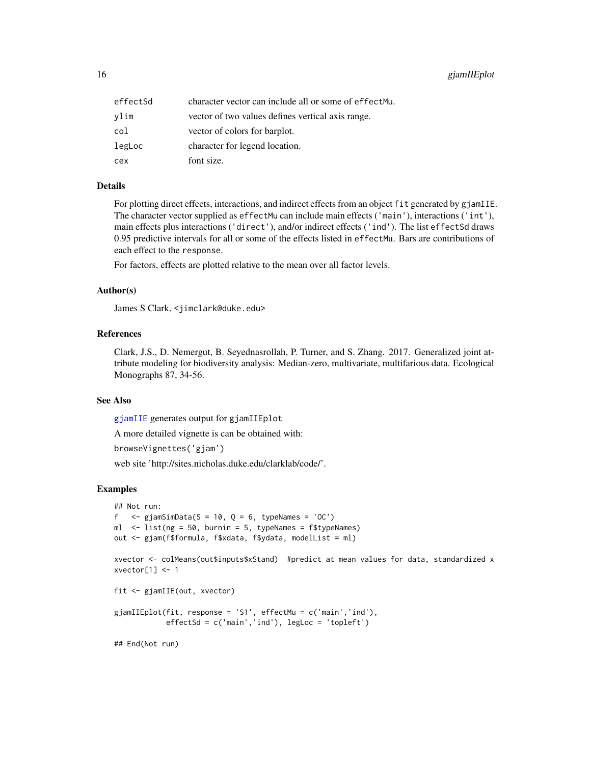<span id="page-15-0"></span>

| effectSd | character vector can include all or some of effect Mu. |
|----------|--------------------------------------------------------|
| vlim     | vector of two values defines vertical axis range.      |
| col      | vector of colors for barplot.                          |
| legLoc   | character for legend location.                         |
| сех      | font size.                                             |

## Details

For plotting direct effects, interactions, and indirect effects from an object fit generated by gjamIIE. The character vector supplied as effectMu can include main effects ('main'), interactions ('int'), main effects plus interactions ('direct'), and/or indirect effects ('ind'). The list effectSd draws 0.95 predictive intervals for all or some of the effects listed in effectMu. Bars are contributions of each effect to the response.

For factors, effects are plotted relative to the mean over all factor levels.

#### Author(s)

James S Clark, <jimclark@duke.edu>

# References

Clark, J.S., D. Nemergut, B. Seyednasrollah, P. Turner, and S. Zhang. 2017. Generalized joint attribute modeling for biodiversity analysis: Median-zero, multivariate, multifarious data. Ecological Monographs 87, 34-56.

#### See Also

[gjamIIE](#page-13-1) generates output for gjamIIEplot

A more detailed vignette is can be obtained with:

```
browseVignettes('gjam')
```
web site 'http://sites.nicholas.duke.edu/clarklab/code/'.

```
## Not run:
f \leq giamSimData(S = 10, Q = 6, typeNames = 'OC')
ml \le list(ng = 50, burnin = 5, typeNames = f$typeNames)
out <- gjam(f$formula, f$xdata, f$ydata, modelList = ml)
xvector <- colMeans(out$inputs$xStand) #predict at mean values for data, standardized x
xvector[1] < -1fit <- gjamIIE(out, xvector)
gjamIIEplot(fit, response = 'S1', effectMu = c('main','ind'),
            effectSd = c('main','ind'), legLoc = 'topleft')
## End(Not run)
```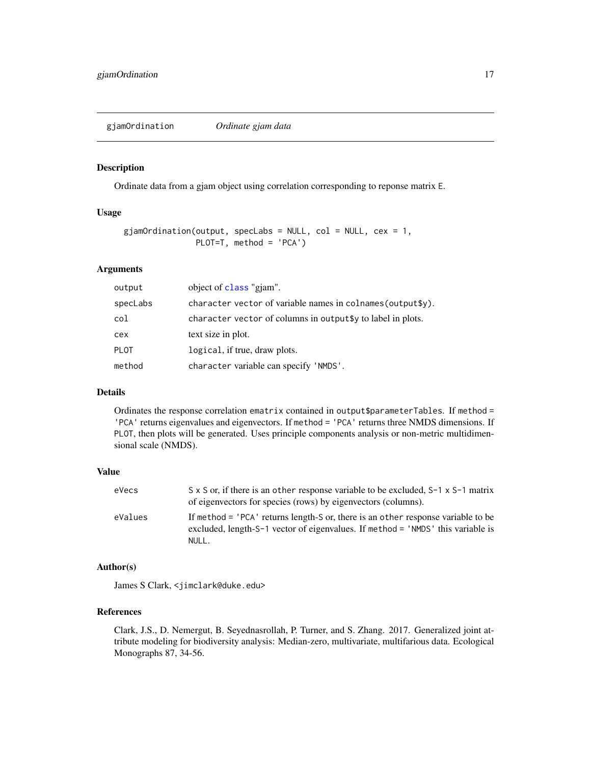<span id="page-16-1"></span><span id="page-16-0"></span>gjamOrdination *Ordinate gjam data*

#### Description

Ordinate data from a gjam object using correlation corresponding to reponse matrix E.

# Usage

```
gjamOrdination(output, specLabs = NULL, col = NULL, cex = 1,
               PLOT=T, method = 'PCA')
```
## Arguments

| output      | object of class "gjam".                                     |
|-------------|-------------------------------------------------------------|
| specLabs    | character vector of variable names in colnames (output\$y). |
| col         | character vector of columns in output\$y to label in plots. |
| cex         | text size in plot.                                          |
| <b>PLOT</b> | logical, if true, draw plots.                               |
| method      | character variable can specify 'NMDS'.                      |

#### Details

Ordinates the response correlation ematrix contained in output\$parameterTables. If method = 'PCA' returns eigenvalues and eigenvectors. If method = 'PCA' returns three NMDS dimensions. If PLOT, then plots will be generated. Uses principle components analysis or non-metric multidimensional scale (NMDS).

# Value

| eVecs   | $S \times S$ or, if there is an other response variable to be excluded, $S-1 \times S-1$ matrix<br>of eigenvectors for species (rows) by eigenvectors (columns).             |
|---------|------------------------------------------------------------------------------------------------------------------------------------------------------------------------------|
| eValues | If method = 'PCA' returns length-S or, there is an other response variable to be<br>excluded, length-S-1 vector of eigenvalues. If method = 'NMDS' this variable is<br>NULL. |

# Author(s)

James S Clark, <jimclark@duke.edu>

#### References

Clark, J.S., D. Nemergut, B. Seyednasrollah, P. Turner, and S. Zhang. 2017. Generalized joint attribute modeling for biodiversity analysis: Median-zero, multivariate, multifarious data. Ecological Monographs 87, 34-56.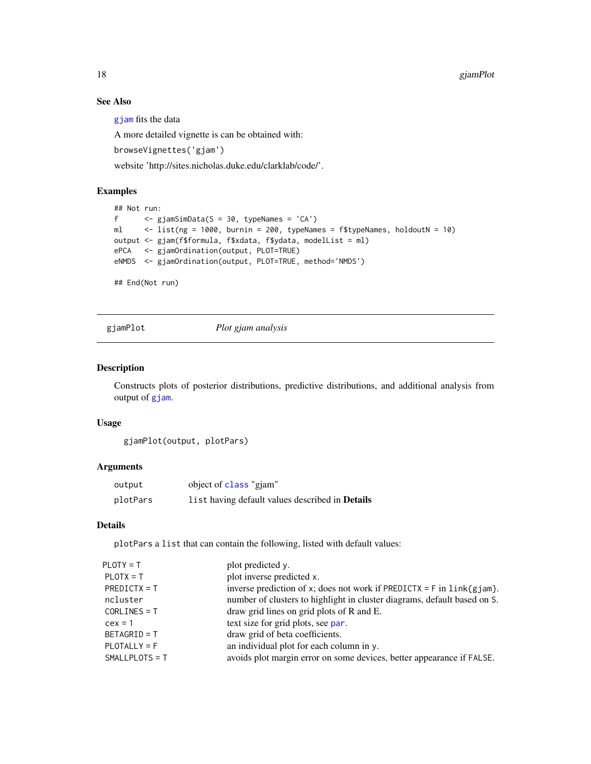# See Also

[gjam](#page-3-1) fits the data

A more detailed vignette is can be obtained with:

browseVignettes('gjam')

website 'http://sites.nicholas.duke.edu/clarklab/code/'.

# Examples

```
## Not run:
f <- gjamSimData(S = 30, typeNames = 'CA')
ml <- list(ng = 1000, burnin = 200, typeNames = f$typeNames, holdoutN = 10)
output <- gjam(f$formula, f$xdata, f$ydata, modelList = ml)
ePCA <- gjamOrdination(output, PLOT=TRUE)
eNMDS <- gjamOrdination(output, PLOT=TRUE, method='NMDS')
```
## End(Not run)

gjamPlot *Plot gjam analysis*

#### Description

Constructs plots of posterior distributions, predictive distributions, and additional analysis from output of [gjam](#page-3-1).

#### Usage

```
gjamPlot(output, plotPars)
```
# Arguments

| output   | object of class "gjam"                                 |
|----------|--------------------------------------------------------|
| plotPars | list having default values described in <b>Details</b> |

### Details

plotPars a list that can contain the following, listed with default values:

| plot inverse predicted x.<br>$PLOTX = T$<br>$PREDICTX = T$<br>ncluster<br>draw grid lines on grid plots of R and E.<br>$CORLINES = T$<br>text size for grid plots, see par.<br>$cex = 1$<br>draw grid of beta coefficients.<br>$BETAGRID = T$<br>an individual plot for each column in y.<br>$PLOTALLY = F$<br>$SMALLPLOTS = T$ | $PLOTY = T$ | plot predicted y.                                                          |
|---------------------------------------------------------------------------------------------------------------------------------------------------------------------------------------------------------------------------------------------------------------------------------------------------------------------------------|-------------|----------------------------------------------------------------------------|
|                                                                                                                                                                                                                                                                                                                                 |             |                                                                            |
|                                                                                                                                                                                                                                                                                                                                 |             | inverse prediction of x; does not work if PREDICTX = $F$ in $link{gjam}$ . |
|                                                                                                                                                                                                                                                                                                                                 |             | number of clusters to highlight in cluster diagrams, default based on S.   |
|                                                                                                                                                                                                                                                                                                                                 |             |                                                                            |
|                                                                                                                                                                                                                                                                                                                                 |             |                                                                            |
|                                                                                                                                                                                                                                                                                                                                 |             |                                                                            |
|                                                                                                                                                                                                                                                                                                                                 |             |                                                                            |
|                                                                                                                                                                                                                                                                                                                                 |             | avoids plot margin error on some devices, better appearance if FALSE.      |

<span id="page-17-0"></span>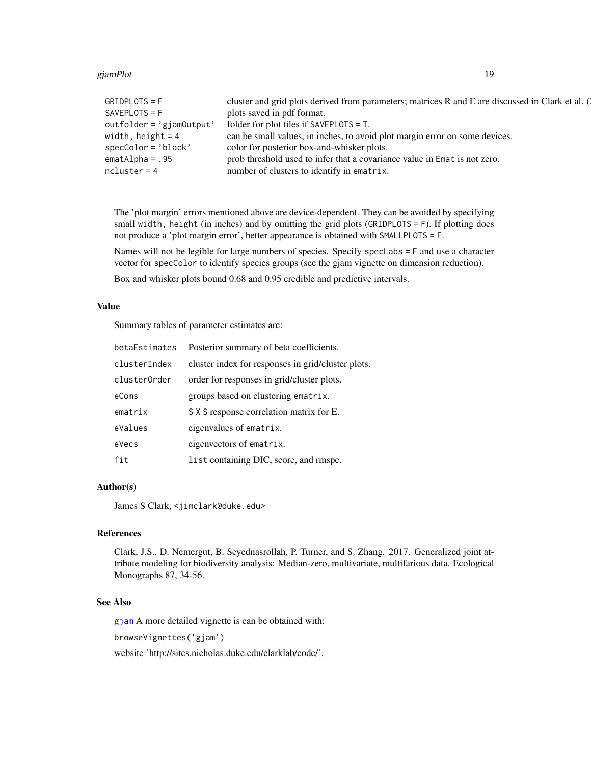#### gjamPlot til 19

| $GRIDPLOTS = F$          | cluster and grid plots derived from parameters; matrices R and E are discussed in Clark et al. ( |
|--------------------------|--------------------------------------------------------------------------------------------------|
| $SAVEPLOTS = F$          | plots saved in pdf format.                                                                       |
| outfolder = 'gjamOutput' | folder for plot files if SAVEPLOTS $=$ T.                                                        |
| width, height $= 4$      | can be small values, in inches, to avoid plot margin error on some devices.                      |
| $specColor = 'black'$    | color for posterior box-and-whisker plots.                                                       |
| $emath1pha = .95$        | prob threshold used to infer that a covariance value in Emat is not zero.                        |
| $ncluster = 4$           | number of clusters to identify in ematrix.                                                       |
|                          |                                                                                                  |

The 'plot margin' errors mentioned above are device-dependent. They can be avoided by specifying small width, height (in inches) and by omitting the grid plots (GRIDPLOTS = F). If plotting does not produce a 'plot margin error', better appearance is obtained with SMALLPLOTS = F.

Names will not be legible for large numbers of species. Specify specLabs = F and use a character vector for specColor to identify species groups (see the gjam vignette on dimension reduction).

Box and whisker plots bound 0.68 and 0.95 credible and predictive intervals.

#### Value

Summary tables of parameter estimates are:

| betaEstimates | Posterior summary of beta coefficients.            |
|---------------|----------------------------------------------------|
| clusterIndex  | cluster index for responses in grid/cluster plots. |
| clusterOrder  | order for responses in grid/cluster plots.         |
| eComs         | groups based on clustering ematrix.                |
| ematrix       | S X S response correlation matrix for E.           |
| eValues       | eigenvalues of ematrix.                            |
| eVecs         | eigenvectors of ematrix.                           |
| fit           | list containing DIC, score, and rmspe.             |

# Author(s)

James S Clark, <jimclark@duke.edu>

# References

Clark, J.S., D. Nemergut, B. Seyednasrollah, P. Turner, and S. Zhang. 2017. Generalized joint attribute modeling for biodiversity analysis: Median-zero, multivariate, multifarious data. Ecological Monographs 87, 34-56.

#### See Also

[gjam](#page-3-1) A more detailed vignette is can be obtained with:

browseVignettes('gjam')

website 'http://sites.nicholas.duke.edu/clarklab/code/'.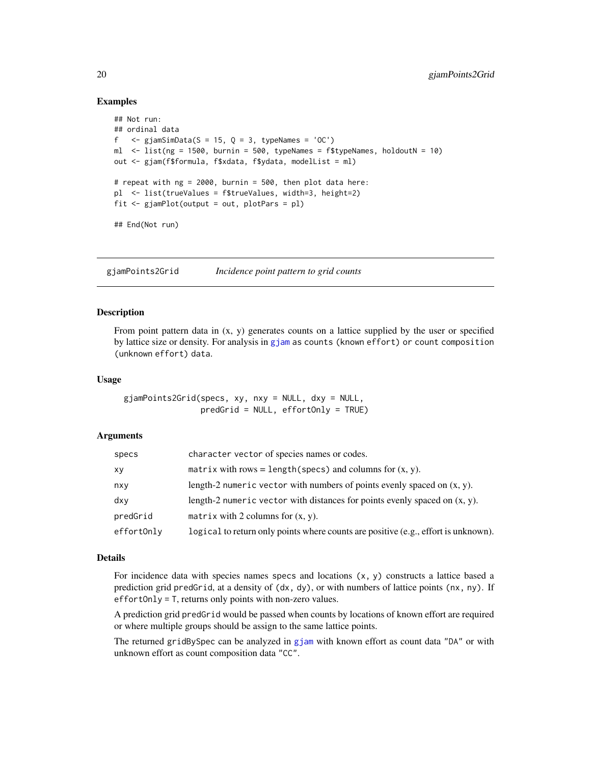### Examples

```
## Not run:
## ordinal data
f \leq giamSimData(S = 15, Q = 3, typeNames = 'OC')
ml \langle- list(ng = 1500, burnin = 500, typeNames = f$typeNames, holdoutN = 10)
out <- gjam(f$formula, f$xdata, f$ydata, modelList = ml)
# repeat with ng = 2000, burnin = 500, then plot data here:
pl <- list(trueValues = f$trueValues, width=3, height=2)
fit <- gjamPlot(output = out, plotPars = pl)
## End(Not run)
```
<span id="page-19-1"></span>gjamPoints2Grid *Incidence point pattern to grid counts*

# **Description**

From point pattern data in  $(x, y)$  generates counts on a lattice supplied by the user or specified by lattice size or density. For analysis in [gjam](#page-3-1) as counts (known effort) or count composition (unknown effort) data.

#### Usage

gjamPoints2Grid(specs, xy, nxy = NULL, dxy = NULL, predGrid = NULL, effortOnly = TRUE)

#### Arguments

| specs      | character vector of species names or codes.                                        |
|------------|------------------------------------------------------------------------------------|
| хy         | matrix with rows = length(specs) and columns for $(x, y)$ .                        |
| nxy        | length-2 numeric vector with numbers of points evenly spaced on $(x, y)$ .         |
| dxy        | length-2 numeric vector with distances for points evenly spaced on $(x, y)$ .      |
| predGrid   | matrix with 2 columns for $(x, y)$ .                                               |
| effortOnly | logical to return only points where counts are positive (e.g., effort is unknown). |

# Details

For incidence data with species names specs and locations  $(x, y)$  constructs a lattice based a prediction grid predGrid, at a density of (dx, dy), or with numbers of lattice points (nx, ny). If effortOnly = T, returns only points with non-zero values.

A prediction grid predGrid would be passed when counts by locations of known effort are required or where multiple groups should be assign to the same lattice points.

The returned gridBySpec can be analyzed in [gjam](#page-3-1) with known effort as count data "DA" or with unknown effort as count composition data "CC".

<span id="page-19-0"></span>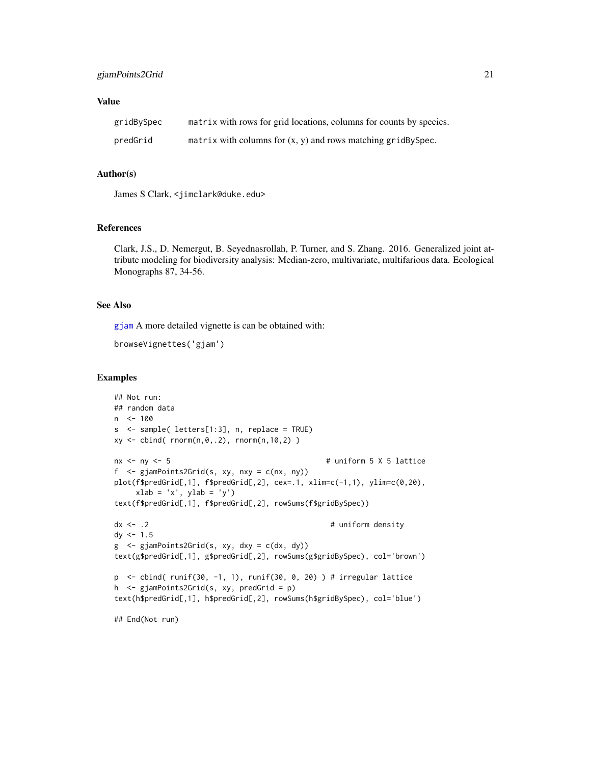# Value

| gridBySpec | matrix with rows for grid locations, columns for counts by species. |
|------------|---------------------------------------------------------------------|
| predGrid   | matrix with columns for $(x, y)$ and rows matching gridBySpec.      |

#### Author(s)

James S Clark, <jimclark@duke.edu>

# References

Clark, J.S., D. Nemergut, B. Seyednasrollah, P. Turner, and S. Zhang. 2016. Generalized joint attribute modeling for biodiversity analysis: Median-zero, multivariate, multifarious data. Ecological Monographs 87, 34-56.

#### See Also

[gjam](#page-3-1) A more detailed vignette is can be obtained with:

```
browseVignettes('gjam')
```

```
## Not run:
## random data
n <- 100
s <- sample( letters[1:3], n, replace = TRUE)
xy \leftarrow \text{cbind}(\text{rnorm}(n, \emptyset, .2), \text{rnorm}(n, 10, 2))nx < -ny < -5 # uniform 5 X 5 lattice
f <- gjamPoints2Grid(s, xy, nxy = c(nx, ny))
plot(f$predGrid[,1], f$predGrid[,2], cex=.1, xlim=c(-1,1), ylim=c(0,20),
    xlab = 'x', ylab = 'y')text(f$predGrid[,1], f$predGrid[,2], rowSums(f$gridBySpec))
dx \le -2 # uniform density
dy < -1.5g <- gjamPoints2Grid(s, xy, dxy = c(dx, dy))
text(g$predGrid[,1], g$predGrid[,2], rowSums(g$gridBySpec), col='brown')
p <- cbind( runif(30, -1, 1), runif(30, 0, 20) ) # irregular lattice
h <- gjamPoints2Grid(s, xy, predGrid = p)
text(h$predGrid[,1], h$predGrid[,2], rowSums(h$gridBySpec), col='blue')
## End(Not run)
```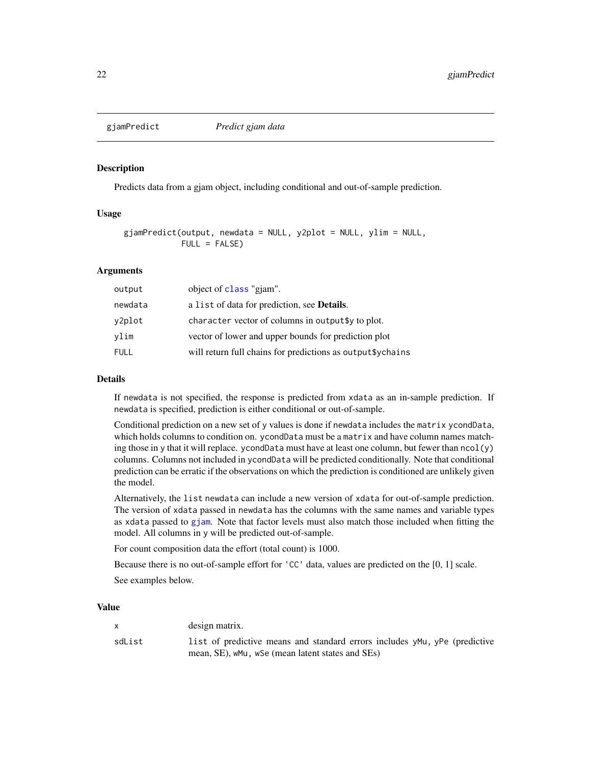<span id="page-21-1"></span><span id="page-21-0"></span>

#### Description

Predicts data from a gjam object, including conditional and out-of-sample prediction.

#### Usage

```
gjamPredict(output, newdata = NULL, y2plot = NULL, ylim = NULL,
            FULL = FALSE)
```
# Arguments

| output  | object of class "gjam".                                     |
|---------|-------------------------------------------------------------|
| newdata | a list of data for prediction, see <b>Details</b> .         |
| y2plot  | character vector of columns in output \$ to plot.           |
| vlim    | vector of lower and upper bounds for prediction plot        |
| FULL    | will return full chains for predictions as output \$ychains |

#### Details

If newdata is not specified, the response is predicted from xdata as an in-sample prediction. If newdata is specified, prediction is either conditional or out-of-sample.

Conditional prediction on a new set of y values is done if newdata includes the matrix ycondData, which holds columns to condition on. ycondData must be a matrix and have column names matching those in y that it will replace. ycondData must have at least one column, but fewer than  $ncol(y)$ columns. Columns not included in ycondData will be predicted conditionally. Note that conditional prediction can be erratic if the observations on which the prediction is conditioned are unlikely given the model.

Alternatively, the list newdata can include a new version of xdata for out-of-sample prediction. The version of xdata passed in newdata has the columns with the same names and variable types as xdata passed to [gjam](#page-3-1). Note that factor levels must also match those included when fitting the model. All columns in y will be predicted out-of-sample.

For count composition data the effort (total count) is 1000.

Because there is no out-of-sample effort for 'CC' data, values are predicted on the [0, 1] scale.

See examples below.

#### Value

|        | design matrix.                                                             |
|--------|----------------------------------------------------------------------------|
| sdList | list of predictive means and standard errors includes yMu, yPe (predictive |
|        | mean, SE), wMu, wSe (mean latent states and SEs)                           |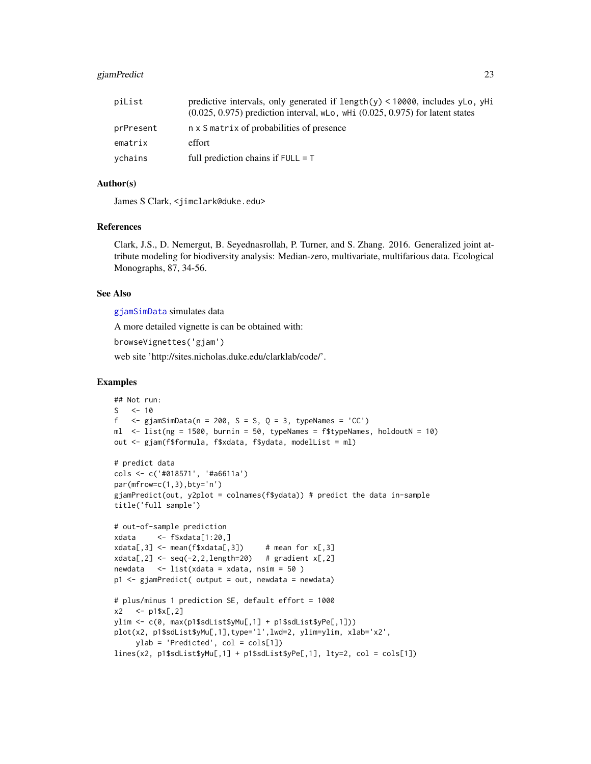# <span id="page-22-0"></span>gjamPredict 23

| piList    | predictive intervals, only generated if $length(y) < 10000$ , includes yLo, yHi<br>$(0.025, 0.975)$ prediction interval, wLo, wHi $(0.025, 0.975)$ for latent states |
|-----------|----------------------------------------------------------------------------------------------------------------------------------------------------------------------|
| prPresent | n x S matrix of probabilities of presence                                                                                                                            |
| ematrix   | effort                                                                                                                                                               |
| ychains   | full prediction chains if $FULL = T$                                                                                                                                 |

# Author(s)

James S Clark, <jimclark@duke.edu>

#### References

Clark, J.S., D. Nemergut, B. Seyednasrollah, P. Turner, and S. Zhang. 2016. Generalized joint attribute modeling for biodiversity analysis: Median-zero, multivariate, multifarious data. Ecological Monographs, 87, 34-56.

# See Also

[gjamSimData](#page-28-1) simulates data

A more detailed vignette is can be obtained with:

browseVignettes('gjam')

web site 'http://sites.nicholas.duke.edu/clarklab/code/'.

```
## Not run:
S \le -10f \leq gjamSimData(n = 200, S = S, Q = 3, typeNames = 'CC')
ml \le list(ng = 1500, burnin = 50, typeNames = f$typeNames, holdoutN = 10)
out <- gjam(f$formula, f$xdata, f$ydata, modelList = ml)
# predict data
cols <- c('#018571', '#a6611a')
par(mfrow=c(1,3),bty='n')
gjamPredict(out, y2plot = colnames(f$ydata)) # predict the data in-sample
title('full sample')
# out-of-sample prediction
xdata <- f$xdata[1:20,]
xdata[, 3] \leq - mean(f$xdata[,3]) # mean for x[, 3]xdata[, 2] \leftarrow seq(-2, 2, length=20) # gradient x[, 2]newdata <- list(xdata = xdata, nsim = 50 )
p1 <- gjamPredict( output = out, newdata = newdata)
# plus/minus 1 prediction SE, default effort = 1000
x2 \le -p1$x[, 2]ylim <- c(0, max(p1$sdList$yMu[,1] + p1$sdList$yPe[,1]))
plot(x2, p1$sdList$yMu[,1],type='l',lwd=2, ylim=ylim, xlab='x2',
     ylab = 'Predicted', col = cols[1])
lines(x2, p1$sdList$yMu[,1] + p1$sdList$yPe[,1], lty=2, col = cols[1])
```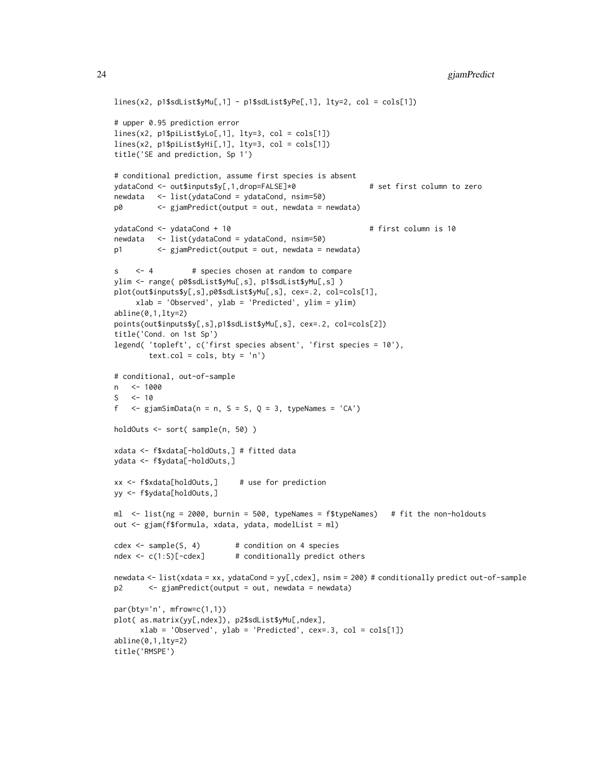```
lines(x2, p1$sdList$yMu[,1] - p1$sdList$yPe[,1], lty=2, col = cols[1])
# upper 0.95 prediction error
lines(x2, p1$piList$yLo[,1], lty=3, col = cols[1])
lines(x2, p1$piList$yHi[,1], lty=3, col = cols[1])
title('SE and prediction, Sp 1')
# conditional prediction, assume first species is absent
ydataCond <- out$inputs$y[,1,drop=FALSE]*0 # set first column to zero
newdata <- list(ydataCond = ydataCond, nsim=50)
p0 <- gjamPredict(output = out, newdata = newdata)
ydataCond <- ydataCond + 10 # first column is 10
newdata <- list(ydataCond = ydataCond, nsim=50)
p1 <- gjamPredict(output = out, newdata = newdata)
s <- 4 # species chosen at random to compare
ylim <- range( p0$sdList$yMu[,s], p1$sdList$yMu[,s] )
plot(out$inputs$y[,s],p0$sdList$yMu[,s], cex=.2, col=cols[1],
     xlab = 'Observed', ylab = 'Predicted', ylim = ylim)
abline(0,1,lty=2)
points(out$inputs$y[,s],p1$sdList$yMu[,s], cex=.2, col=cols[2])
title('Cond. on 1st Sp')
legend( 'topleft', c('first species absent', 'first species = 10'),
       text.col = \text{cols}, \text{ bty} = \text{'n'}# conditional, out-of-sample
n <- 1000
S \t < -10f \leq gjamSimData(n = n, S = S, Q = 3, typeNames = 'CA')
holdOuts <- sort( sample(n, 50) )
xdata <- f$xdata[-holdOuts,] # fitted data
ydata <- f$ydata[-holdOuts,]
xx <- f$xdata[holdOuts,] # use for prediction
yy <- f$ydata[holdOuts,]
ml <- list(ng = 2000, burnin = 500, typeNames = f$typeNames) # fit the non-holdouts
out <- gjam(f$formula, xdata, ydata, modelList = ml)
cdex < - sample(S, 4) # condition on 4 species
ndex <- c(1:S)[-cdex] # conditionally predict others
newdata <- list(xdata = xx, ydataCond = yy[,cdex], nsim = 200) # conditionally predict out-of-sample
p2 <- gjamPredict(output = out, newdata = newdata)
par(bty='n', mfrow=c(1,1))
plot( as.matrix(yy[,ndex]), p2$sdList$yMu[,ndex],
      xlab = 'Observed', ylab = 'Predicted', cex=.3, col = cols[1])abline(0,1,lty=2)
title('RMSPE')
```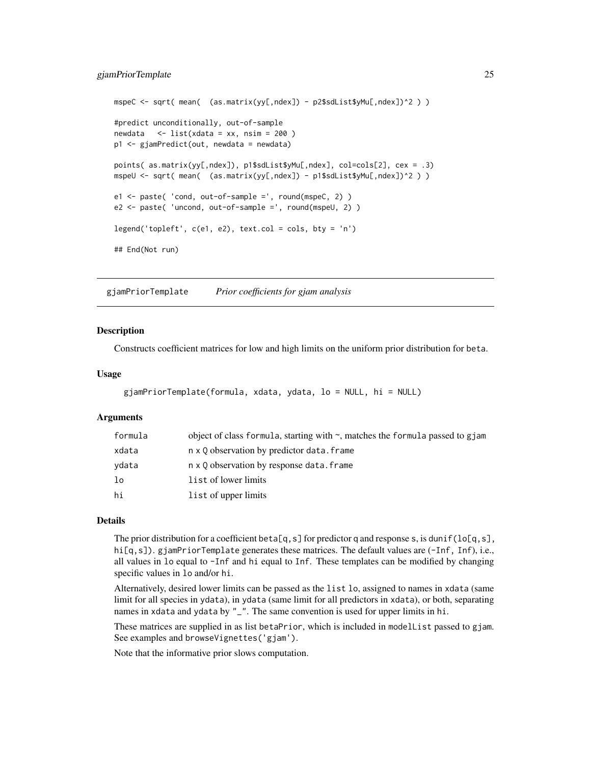```
mspeC <- sqrt( mean( (as.matrix(yy[,ndex]) - p2$sdList$yMu[,ndex])^2 ) )
#predict unconditionally, out-of-sample
newdata <- list(xdata = xx, nsim = 200 )
p1 <- gjamPredict(out, newdata = newdata)
points( as.matrix(yy[,ndex]), p1$sdList$yMu[,ndex], col=cols[2], cex = .3)
mspeU <- sqrt( mean( (as.matrix(yy[,ndex]) - p1$sdList$yMu[,ndex])^2 ) )
e1 <- paste( 'cond, out-of-sample =', round(mspeC, 2) )
e2 <- paste( 'uncond, out-of-sample =', round(mspeU, 2) )
legend('topleft', c(e1, e2), text.col = cols, bty = 'n')
## End(Not run)
```
<span id="page-24-1"></span>gjamPriorTemplate *Prior coefficients for gjam analysis*

#### **Description**

Constructs coefficient matrices for low and high limits on the uniform prior distribution for beta.

#### Usage

```
gjamPriorTemplate(formula, xdata, ydata, lo = NULL, hi = NULL)
```
#### Arguments

| formula | object of class formula, starting with $\sim$ , matches the formula passed to gjam |
|---------|------------------------------------------------------------------------------------|
| xdata   | n x 0 observation by predictor data. frame                                         |
| ydata   | n x 0 observation by response data. frame                                          |
| lo      | list of lower limits                                                               |
| hi      | list of upper limits                                                               |

# Details

The prior distribution for a coefficient beta[q, s] for predictor q and response s, is dunif(lo[q, s], hi[q,s]). gjamPriorTemplate generates these matrices. The default values are (-Inf, Inf), i.e., all values in lo equal to -Inf and hi equal to Inf. These templates can be modified by changing specific values in lo and/or hi.

Alternatively, desired lower limits can be passed as the list lo, assigned to names in xdata (same limit for all species in ydata), in ydata (same limit for all predictors in xdata), or both, separating names in xdata and ydata by "\_". The same convention is used for upper limits in hi.

These matrices are supplied in as list betaPrior, which is included in modelList passed to gjam. See examples and browseVignettes('gjam').

Note that the informative prior slows computation.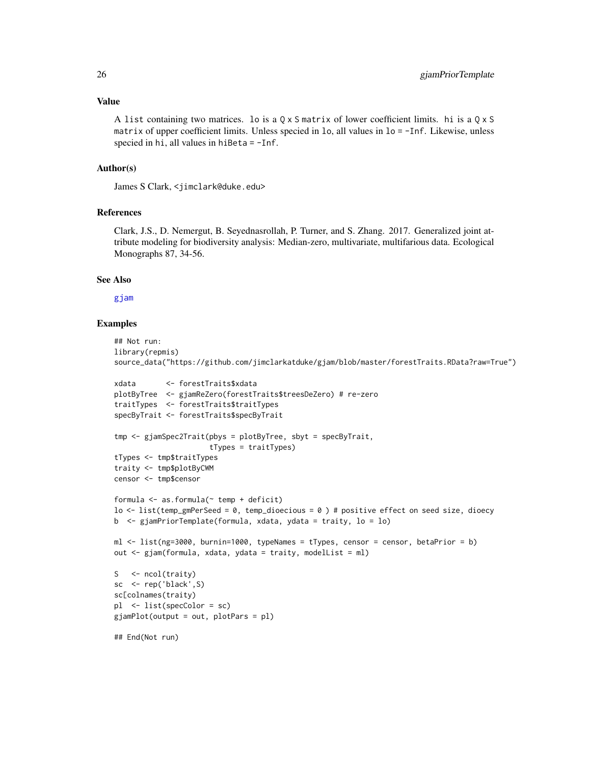#### <span id="page-25-0"></span>Value

A list containing two matrices. lo is a  $0 \times S$  matrix of lower coefficient limits. hi is a  $0 \times S$ matrix of upper coefficient limits. Unless specied in lo, all values in lo = -Inf. Likewise, unless specied in hi, all values in hiBeta  $= -Inf$ .

# Author(s)

James S Clark, <jimclark@duke.edu>

# References

Clark, J.S., D. Nemergut, B. Seyednasrollah, P. Turner, and S. Zhang. 2017. Generalized joint attribute modeling for biodiversity analysis: Median-zero, multivariate, multifarious data. Ecological Monographs 87, 34-56.

### See Also

### [gjam](#page-3-1)

```
## Not run:
library(repmis)
source_data("https://github.com/jimclarkatduke/gjam/blob/master/forestTraits.RData?raw=True")
xdata <- forestTraits$xdata
plotByTree <- gjamReZero(forestTraits$treesDeZero) # re-zero
traitTypes <- forestTraits$traitTypes
specByTrait <- forestTraits$specByTrait
tmp <- gjamSpec2Trait(pbys = plotByTree, sbyt = specByTrait,
                      tTypes = traitTypes)
tTypes <- tmp$traitTypes
traity <- tmp$plotByCWM
censor <- tmp$censor
formula \leq as.formula(\leq temp + deficit)
lo \le list(temp_gmPerSeed = 0, temp_dioecious = 0) # positive effect on seed size, dioecy
b <- gjamPriorTemplate(formula, xdata, ydata = traity, lo = lo)
ml <- list(ng=3000, burnin=1000, typeNames = tTypes, censor = censor, betaPrior = b)
out <- gjam(formula, xdata, ydata = traity, modelList = ml)
S <- ncol(traity)
sc <- rep('black',S)
sc[colnames(traity)
pl <- list(specColor = sc)
gjamPlot(output = out, plotPars = pl)
## End(Not run)
```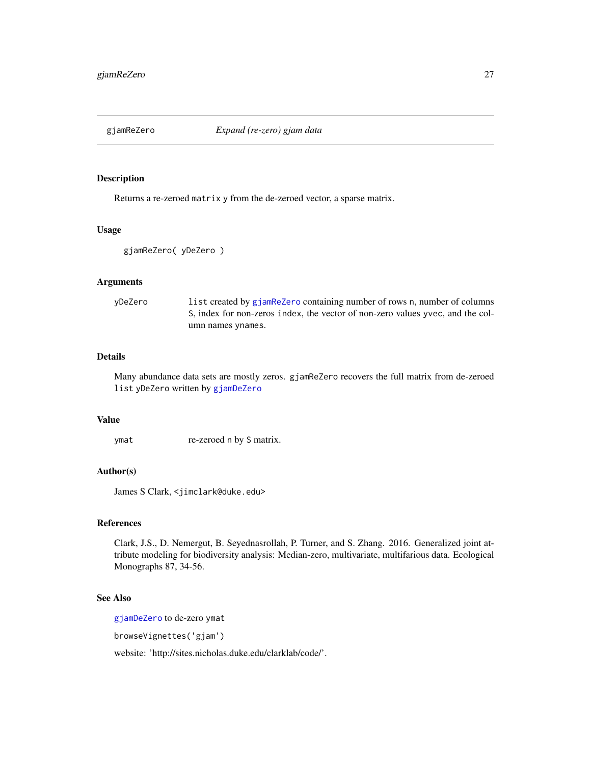<span id="page-26-1"></span><span id="page-26-0"></span>

#### Description

Returns a re-zeroed matrix y from the de-zeroed vector, a sparse matrix.

#### Usage

```
gjamReZero( yDeZero )
```
# Arguments

| vDeZero | list created by gjamReZero containing number of rows n, number of columns      |
|---------|--------------------------------------------------------------------------------|
|         | S, index for non-zeros index, the vector of non-zero values yvec, and the col- |
|         | umn names ynames.                                                              |

# Details

Many abundance data sets are mostly zeros. gjamReZero recovers the full matrix from de-zeroed list yDeZero written by [gjamDeZero](#page-10-1)

#### Value

ymat re-zeroed n by S matrix.

# Author(s)

James S Clark, <jimclark@duke.edu>

# References

Clark, J.S., D. Nemergut, B. Seyednasrollah, P. Turner, and S. Zhang. 2016. Generalized joint attribute modeling for biodiversity analysis: Median-zero, multivariate, multifarious data. Ecological Monographs 87, 34-56.

# See Also

[gjamDeZero](#page-10-1) to de-zero ymat

browseVignettes('gjam')

website: 'http://sites.nicholas.duke.edu/clarklab/code/'.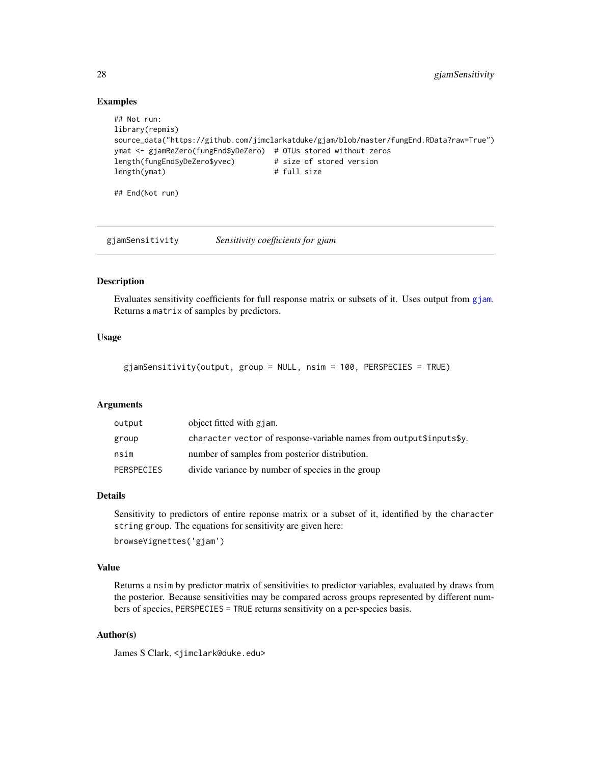### <span id="page-27-0"></span>Examples

```
## Not run:
library(repmis)
source_data("https://github.com/jimclarkatduke/gjam/blob/master/fungEnd.RData?raw=True")
ymat <- gjamReZero(fungEnd$yDeZero) # OTUs stored without zeros
length(fungEnd$yDeZero$yvec) # size of stored version
length(ymat) # full size
## End(Not run)
```
<span id="page-27-1"></span>gjamSensitivity *Sensitivity coefficients for gjam*

# Description

Evaluates sensitivity coefficients for full response matrix or subsets of it. Uses output from [gjam](#page-3-1). Returns a matrix of samples by predictors.

# Usage

gjamSensitivity(output, group = NULL, nsim = 100, PERSPECIES = TRUE)

### Arguments

| output     | object fitted with gjam.                                            |
|------------|---------------------------------------------------------------------|
| group      | character vector of response-variable names from output\$inputs\$y. |
| nsim       | number of samples from posterior distribution.                      |
| PERSPECIES | divide variance by number of species in the group                   |

# Details

Sensitivity to predictors of entire reponse matrix or a subset of it, identified by the character string group. The equations for sensitivity are given here: browseVignettes('gjam')

#### Value

Returns a nsim by predictor matrix of sensitivities to predictor variables, evaluated by draws from the posterior. Because sensitivities may be compared across groups represented by different numbers of species, PERSPECIES = TRUE returns sensitivity on a per-species basis.

# Author(s)

James S Clark, <jimclark@duke.edu>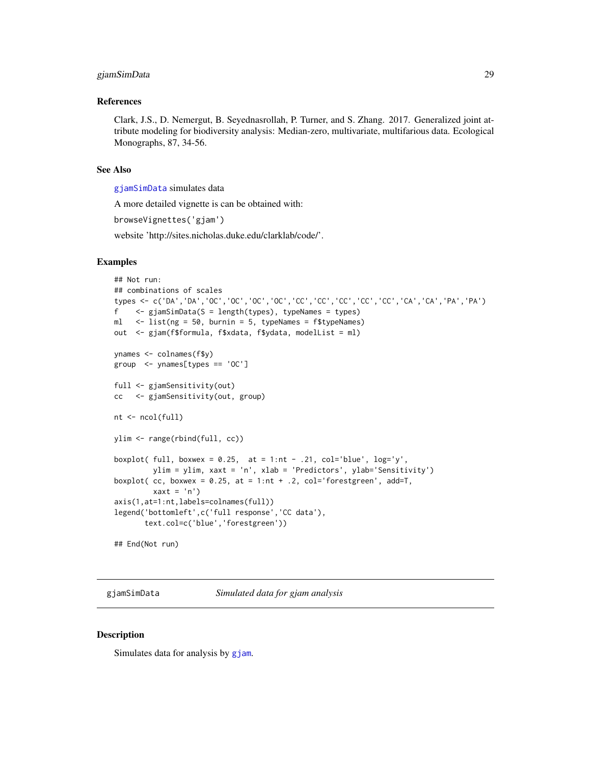# <span id="page-28-0"></span>gjamSimData 29

#### References

Clark, J.S., D. Nemergut, B. Seyednasrollah, P. Turner, and S. Zhang. 2017. Generalized joint attribute modeling for biodiversity analysis: Median-zero, multivariate, multifarious data. Ecological Monographs, 87, 34-56.

#### See Also

[gjamSimData](#page-28-1) simulates data

A more detailed vignette is can be obtained with:

browseVignettes('gjam')

website 'http://sites.nicholas.duke.edu/clarklab/code/'.

#### Examples

```
## Not run:
## combinations of scales
types <- c('DA','DA','OC','OC','OC','OC','CC','CC','CC','CC','CC','CA','CA','PA','PA')
f <- gjamSimData(S = length(types), typeNames = types)
ml <- list(ng = 50, burnin = 5, typeNames = f$typeNames)
out <- gjam(f$formula, f$xdata, f$ydata, modelList = ml)
ynames <- colnames(f$y)
group <- ynames[types == 'OC']
full <- gjamSensitivity(out)
cc <- gjamSensitivity(out, group)
nt <- ncol(full)
ylim <- range(rbind(full, cc))
boxplot( full, boxwex = 0.25, at = 1:nt - .21, col='blue', log='y',
        ylim = ylim, xaxt = 'n', xlab = 'Predictors', ylab='Sensitivity')
boxplot( cc, boxwex = 0.25, at = 1:nt + .2, col='forestgreen', add=T,
        xaxt = 'n')axis(1,at=1:nt,labels=colnames(full))
legend('bottomleft',c('full response','CC data'),
       text.col=c('blue','forestgreen'))
```
## End(Not run)

<span id="page-28-1"></span>gjamSimData *Simulated data for gjam analysis*

#### Description

Simulates data for analysis by [gjam](#page-3-1).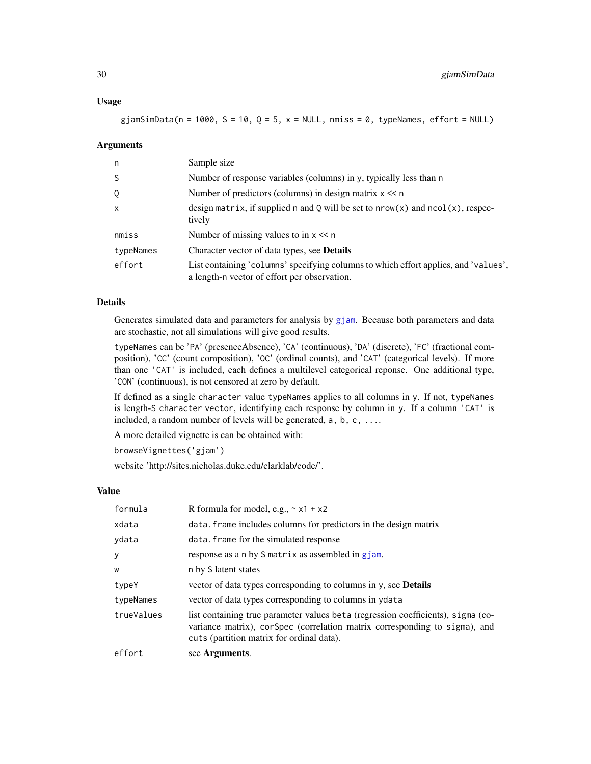#### Usage

gjamSimData(n = 1000, S = 10, Q = 5, x = NULL, nmiss = 0, typeNames, effort = NULL)

#### Arguments

| n            | Sample size                                                                                                                         |
|--------------|-------------------------------------------------------------------------------------------------------------------------------------|
| <sub>S</sub> | Number of response variables (columns) in y, typically less than n                                                                  |
| Q            | Number of predictors (columns) in design matrix $x \leq n$                                                                          |
| $\mathsf{x}$ | design matrix, if supplied n and Q will be set to $nrow(x)$ and $ncol(x)$ , respec-<br>tively                                       |
| nmiss        | Number of missing values to in $x \ll n$                                                                                            |
| typeNames    | Character vector of data types, see <b>Details</b>                                                                                  |
| effort       | List containing 'columns' specifying columns to which effort applies, and 'values',<br>a length-n vector of effort per observation. |

# Details

Generates simulated data and parameters for analysis by [gjam](#page-3-1). Because both parameters and data are stochastic, not all simulations will give good results.

typeNames can be 'PA' (presenceAbsence), 'CA' (continuous), 'DA' (discrete), 'FC' (fractional composition), 'CC' (count composition), 'OC' (ordinal counts), and 'CAT' (categorical levels). If more than one 'CAT' is included, each defines a multilevel categorical reponse. One additional type, 'CON' (continuous), is not censored at zero by default.

If defined as a single character value typeNames applies to all columns in y. If not, typeNames is length-S character vector, identifying each response by column in y. If a column 'CAT' is included, a random number of levels will be generated, a, b, c, ....

A more detailed vignette is can be obtained with:

browseVignettes('gjam')

website 'http://sites.nicholas.duke.edu/clarklab/code/'.

#### Value

| formula    | R formula for model, e.g., $\sim x1 + x2$                                                                                                                                                                   |
|------------|-------------------------------------------------------------------------------------------------------------------------------------------------------------------------------------------------------------|
| xdata      | data. Frame includes columns for predictors in the design matrix                                                                                                                                            |
| ydata      | data. frame for the simulated response                                                                                                                                                                      |
| y          | response as a n by S matrix as assembled in gjam.                                                                                                                                                           |
| W          | n by S latent states                                                                                                                                                                                        |
| typeY      | vector of data types corresponding to columns in y, see <b>Details</b>                                                                                                                                      |
| typeNames  | vector of data types corresponding to columns in year at a                                                                                                                                                  |
| trueValues | list containing true parameter values beta (regression coefficients), sigma (co-<br>variance matrix), corSpec (correlation matrix corresponding to sigma), and<br>cuts (partition matrix for ordinal data). |
| effort     | see Arguments.                                                                                                                                                                                              |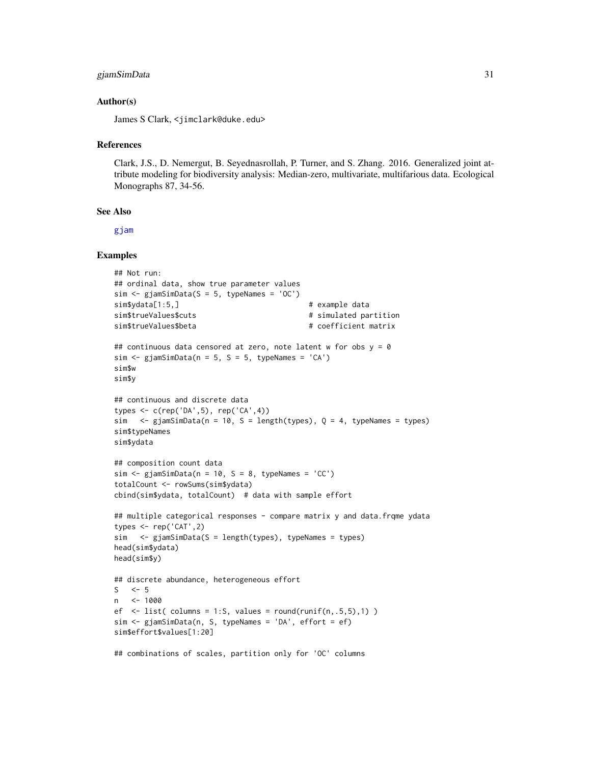# gjamSimData 31

#### Author(s)

James S Clark, <jimclark@duke.edu>

#### References

Clark, J.S., D. Nemergut, B. Seyednasrollah, P. Turner, and S. Zhang. 2016. Generalized joint attribute modeling for biodiversity analysis: Median-zero, multivariate, multifarious data. Ecological Monographs 87, 34-56.

# See Also

[gjam](#page-3-1)

```
## Not run:
## ordinal data, show true parameter values
sim \leq gjamSimData(S = 5, typeNames = 'OC')
sim$ydata[1:5,] # example data
sim$trueValues$cuts # simulated partition
sim$trueValues$beta # coefficient matrix
## continuous data censored at zero, note latent w for obs y = 0sim \le gjamSimData(n = 5, S = 5, typeNames = 'CA')
sim$w
sim$y
## continuous and discrete data
types <- c(rep('DA',5), rep('CA',4))
sim \leq gjamSimData(n = 10, S = length(types), Q = 4, typeNames = types)
sim$typeNames
sim$ydata
## composition count data
sim < gjamSimData(n = 10, S = 8, typeNames = 'CC')
totalCount <- rowSums(sim$ydata)
cbind(sim$ydata, totalCount) # data with sample effort
## multiple categorical responses - compare matrix y and data.frqme ydata
types \leq rep('CAT', 2)
sim <- gjamSimData(S = length(types), typeNames = types)
head(sim$ydata)
head(sim$y)
## discrete abundance, heterogeneous effort
S \leq -5n <- 1000
ef \le list( columns = 1:S, values = round(runif(n,.5,5),1) )
sim <- gjamSimData(n, S, typeNames = 'DA', effort = ef)
sim$effort$values[1:20]
## combinations of scales, partition only for 'OC' columns
```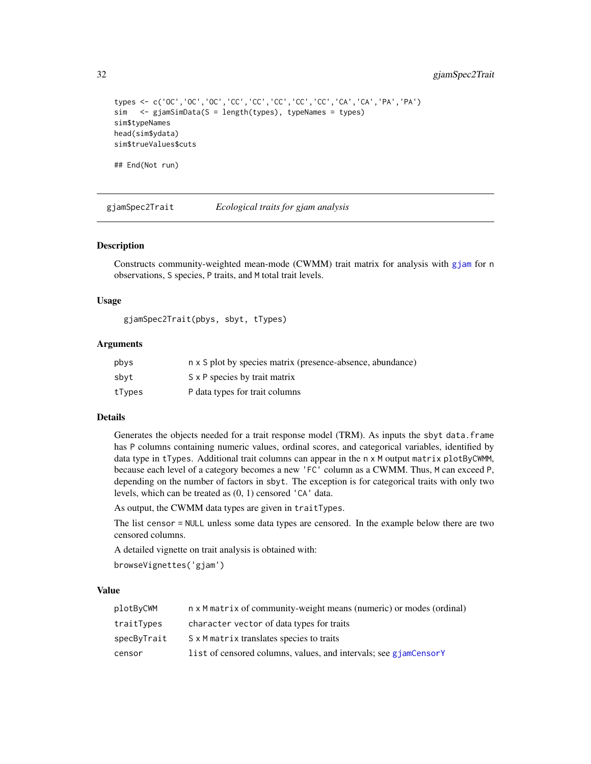```
types <- c('OC','OC','OC','CC','CC','CC','CC','CC','CA','CA','PA','PA')
sim <- gjamSimData(S = length(types), typeNames = types)
sim$typeNames
head(sim$ydata)
sim$trueValues$cuts
## End(Not run)
```
<span id="page-31-1"></span>gjamSpec2Trait *Ecological traits for gjam analysis*

#### Description

Constructs community-weighted mean-mode (CWMM) trait matrix for analysis with [gjam](#page-3-1) for n observations, S species, P traits, and M total trait levels.

#### Usage

gjamSpec2Trait(pbys, sbyt, tTypes)

# Arguments

| pbys   | n x S plot by species matrix (presence-absence, abundance) |
|--------|------------------------------------------------------------|
| sbyt   | S x P species by trait matrix                              |
| tTypes | P data types for trait columns                             |

#### Details

Generates the objects needed for a trait response model (TRM). As inputs the sbyt data.frame has P columns containing numeric values, ordinal scores, and categorical variables, identified by data type in tTypes. Additional trait columns can appear in the n x M output matrix plotByCWMM, because each level of a category becomes a new 'FC' column as a CWMM. Thus, M can exceed P, depending on the number of factors in sbyt. The exception is for categorical traits with only two levels, which can be treated as (0, 1) censored 'CA' data.

As output, the CWMM data types are given in traitTypes.

The list censor = NULL unless some data types are censored. In the example below there are two censored columns.

A detailed vignette on trait analysis is obtained with:

browseVignettes('gjam')

# Value

| plotByCWM   | n x M matrix of community-weight means (numeric) or modes (ordinal) |
|-------------|---------------------------------------------------------------------|
| traitTypes  | character vector of data types for traits                           |
| specByTrait | S x M matrix translates species to traits                           |
| censor      | list of censored columns, values, and intervals; see giamCensorY    |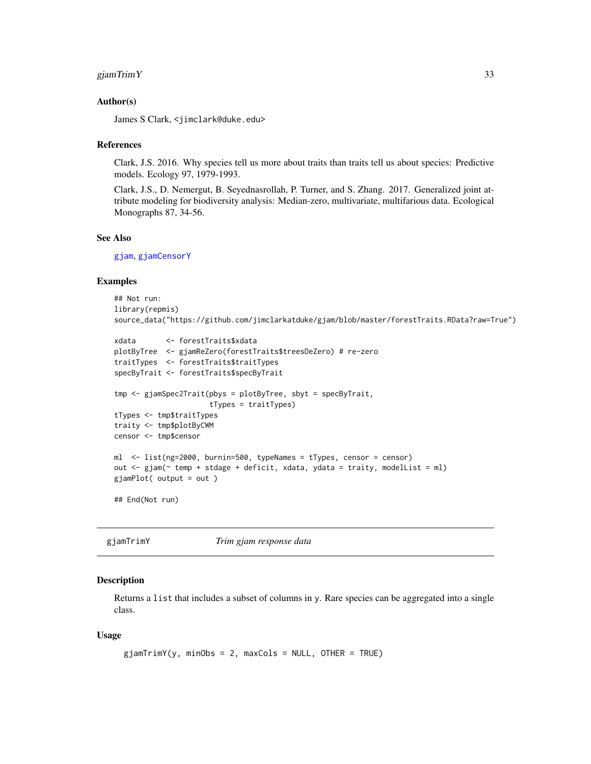# <span id="page-32-0"></span>gjamTrimY 33

#### Author(s)

James S Clark, <jimclark@duke.edu>

#### References

Clark, J.S. 2016. Why species tell us more about traits than traits tell us about species: Predictive models. Ecology 97, 1979-1993.

Clark, J.S., D. Nemergut, B. Seyednasrollah, P. Turner, and S. Zhang. 2017. Generalized joint attribute modeling for biodiversity analysis: Median-zero, multivariate, multifarious data. Ecological Monographs 87, 34-56.

# See Also

[gjam](#page-3-1), [gjamCensorY](#page-6-1)

# Examples

```
## Not run:
library(repmis)
source_data("https://github.com/jimclarkatduke/gjam/blob/master/forestTraits.RData?raw=True")
```

```
xdata <- forestTraits$xdata
plotByTree <- gjamReZero(forestTraits$treesDeZero) # re-zero
traitTypes <- forestTraits$traitTypes
specByTrait <- forestTraits$specByTrait
tmp <- gjamSpec2Trait(pbys = plotByTree, sbyt = specByTrait,
                     tTypes = traitTypes)
tTypes <- tmp$traitTypes
traity <- tmp$plotByCWM
censor <- tmp$censor
ml <- list(ng=2000, burnin=500, typeNames = tTypes, censor = censor)
out <- gjam(~ temp + stdage + deficit, xdata, ydata = traity, modelList = ml)
gjamPlot( output = out )
```
## End(Not run)

<span id="page-32-1"></span>gjamTrimY *Trim gjam response data*

#### **Description**

Returns a list that includes a subset of columns in y. Rare species can be aggregated into a single class.

#### Usage

```
gjamTrimY(y, minObs = 2, maxCols = NULL, OTHER = TRUE)
```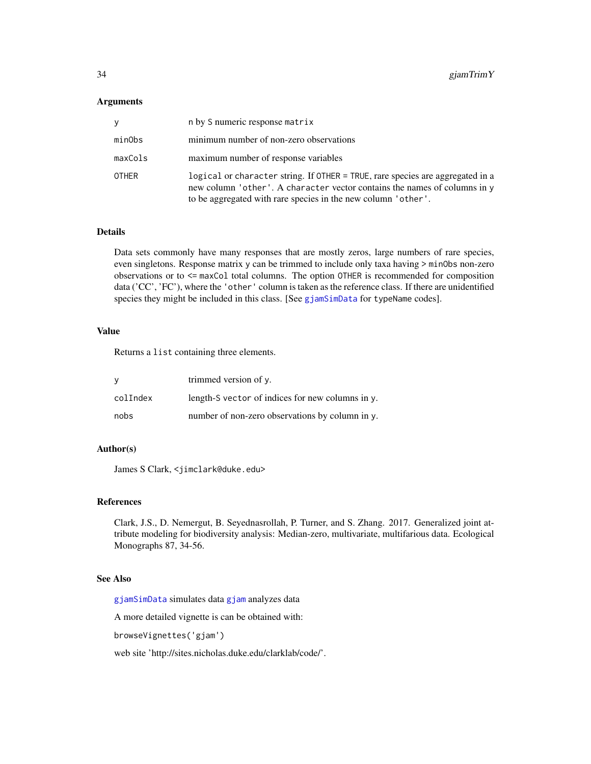#### <span id="page-33-0"></span>Arguments

|         | n by S numeric response matrix                                                                                                                                                                                               |
|---------|------------------------------------------------------------------------------------------------------------------------------------------------------------------------------------------------------------------------------|
| minObs  | minimum number of non-zero observations                                                                                                                                                                                      |
| maxCols | maximum number of response variables                                                                                                                                                                                         |
| OTHER   | logical or character string. If OTHER = TRUE, rare species are aggregated in a<br>new column 'other'. A character vector contains the names of columns in y<br>to be aggregated with rare species in the new column 'other'. |

#### Details

Data sets commonly have many responses that are mostly zeros, large numbers of rare species, even singletons. Response matrix y can be trimmed to include only taxa having > minObs non-zero observations or to <= maxCol total columns. The option OTHER is recommended for composition data ('CC', 'FC'), where the 'other' column is taken as the reference class. If there are unidentified species they might be included in this class. [See [gjamSimData](#page-28-1) for typeName codes].

#### Value

Returns a list containing three elements.

| -V       | trimmed version of y.                                  |
|----------|--------------------------------------------------------|
| colIndex | length- $S$ vector of indices for new columns in $v$ . |
| nobs     | number of non-zero observations by column in y.        |

#### Author(s)

James S Clark, <jimclark@duke.edu>

#### References

Clark, J.S., D. Nemergut, B. Seyednasrollah, P. Turner, and S. Zhang. 2017. Generalized joint attribute modeling for biodiversity analysis: Median-zero, multivariate, multifarious data. Ecological Monographs 87, 34-56.

# See Also

[gjamSimData](#page-28-1) simulates data [gjam](#page-3-1) analyzes data

A more detailed vignette is can be obtained with:

browseVignettes('gjam')

web site 'http://sites.nicholas.duke.edu/clarklab/code/'.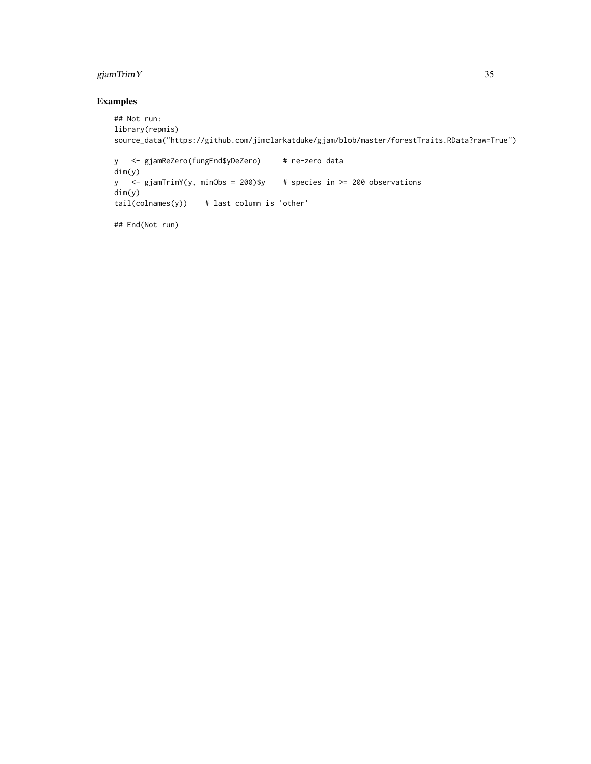# gjamTrimY 35

```
## Not run:
library(repmis)
source_data("https://github.com/jimclarkatduke/gjam/blob/master/forestTraits.RData?raw=True")
y <- gjamReZero(fungEnd$yDeZero) # re-zero data
dim(y)
y <- gjamTrimY(y, minObs = 200)$y # species in >= 200 observations
dim(y)
tail(colnames(y)) # last column is 'other'
## End(Not run)
```